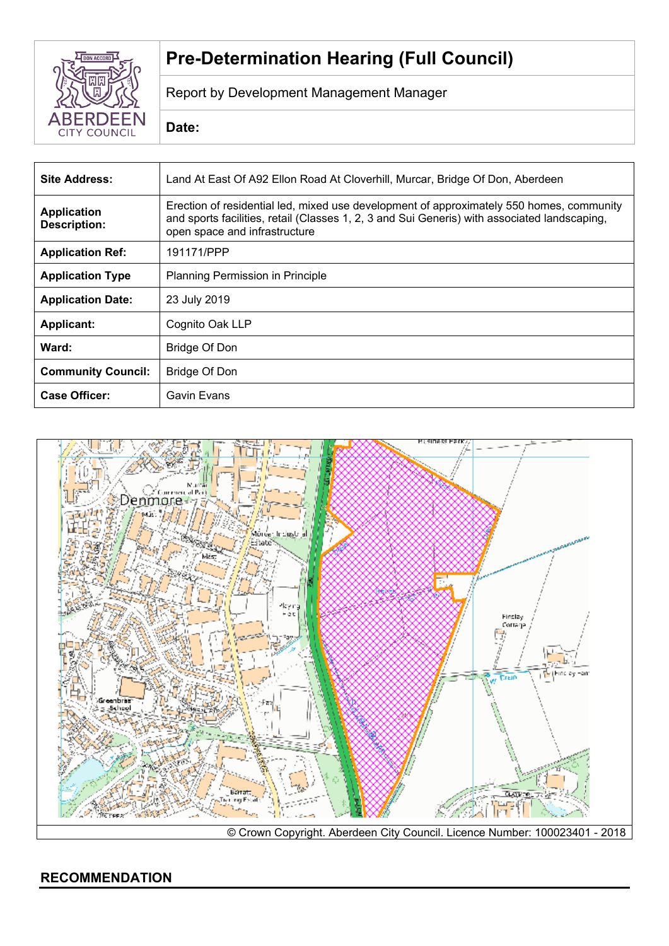

# **Pre-Determination Hearing (Full Council)**

Report by Development Management Manager

**Date:**

| <b>Site Address:</b>                      | Land At East Of A92 Ellon Road At Cloverhill, Murcar, Bridge Of Don, Aberdeen                                                                                                                                             |  |
|-------------------------------------------|---------------------------------------------------------------------------------------------------------------------------------------------------------------------------------------------------------------------------|--|
| <b>Application</b><br><b>Description:</b> | Erection of residential led, mixed use development of approximately 550 homes, community<br>and sports facilities, retail (Classes 1, 2, 3 and Sui Generis) with associated landscaping,<br>open space and infrastructure |  |
| <b>Application Ref:</b>                   | 191171/PPP                                                                                                                                                                                                                |  |
| <b>Application Type</b>                   | <b>Planning Permission in Principle</b>                                                                                                                                                                                   |  |
| <b>Application Date:</b>                  | 23 July 2019                                                                                                                                                                                                              |  |
| <b>Applicant:</b>                         | Cognito Oak LLP                                                                                                                                                                                                           |  |
| Ward:                                     | Bridge Of Don                                                                                                                                                                                                             |  |
| <b>Community Council:</b>                 | Bridge Of Don                                                                                                                                                                                                             |  |
| <b>Case Officer:</b>                      | Gavin Evans                                                                                                                                                                                                               |  |

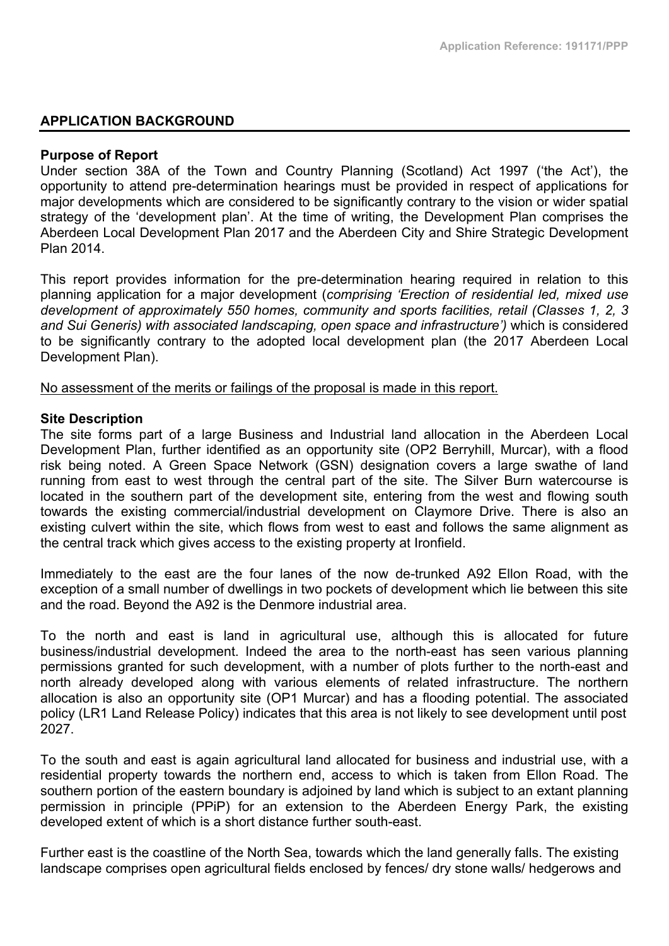# **APPLICATION BACKGROUND**

#### **Purpose of Report**

Under section 38A of the Town and Country Planning (Scotland) Act 1997 ('the Act'), the opportunity to attend pre-determination hearings must be provided in respect of applications for major developments which are considered to be significantly contrary to the vision or wider spatial strategy of the 'development plan'. At the time of writing, the Development Plan comprises the Aberdeen Local Development Plan 2017 and the Aberdeen City and Shire Strategic Development Plan 2014.

This report provides information for the pre-determination hearing required in relation to this planning application for a major development (*comprising 'Erection of residential led, mixed use development of approximately 550 homes, community and sports facilities, retail (Classes 1, 2, 3 and Sui Generis) with associated landscaping, open space and infrastructure')* which is considered to be significantly contrary to the adopted local development plan (the 2017 Aberdeen Local Development Plan).

No assessment of the merits or failings of the proposal is made in this report.

# **Site Description**

The site forms part of a large Business and Industrial land allocation in the Aberdeen Local Development Plan, further identified as an opportunity site (OP2 Berryhill, Murcar), with a flood risk being noted. A Green Space Network (GSN) designation covers a large swathe of land running from east to west through the central part of the site. The Silver Burn watercourse is located in the southern part of the development site, entering from the west and flowing south towards the existing commercial/industrial development on Claymore Drive. There is also an existing culvert within the site, which flows from west to east and follows the same alignment as the central track which gives access to the existing property at Ironfield.

Immediately to the east are the four lanes of the now de-trunked A92 Ellon Road, with the exception of a small number of dwellings in two pockets of development which lie between this site and the road. Beyond the A92 is the Denmore industrial area.

To the north and east is land in agricultural use, although this is allocated for future business/industrial development. Indeed the area to the north-east has seen various planning permissions granted for such development, with a number of plots further to the north-east and north already developed along with various elements of related infrastructure. The northern allocation is also an opportunity site (OP1 Murcar) and has a flooding potential. The associated policy (LR1 Land Release Policy) indicates that this area is not likely to see development until post 2027.

To the south and east is again agricultural land allocated for business and industrial use, with a residential property towards the northern end, access to which is taken from Ellon Road. The southern portion of the eastern boundary is adjoined by land which is subject to an extant planning permission in principle (PPiP) for an extension to the Aberdeen Energy Park, the existing developed extent of which is a short distance further south-east.

Further east is the coastline of the North Sea, towards which the land generally falls. The existing landscape comprises open agricultural fields enclosed by fences/ dry stone walls/ hedgerows and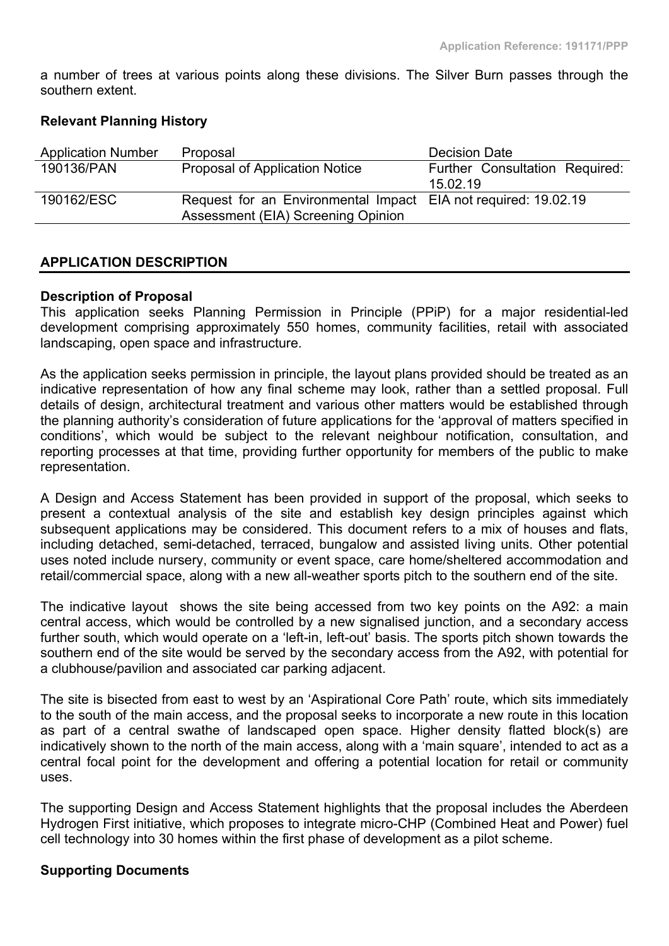a number of trees at various points along these divisions. The Silver Burn passes through the southern extent.

# **Relevant Planning History**

| <b>Application Number</b> | Proposal                                                       | <b>Decision Date</b>           |
|---------------------------|----------------------------------------------------------------|--------------------------------|
| 190136/PAN                | Proposal of Application Notice                                 | Further Consultation Required: |
|                           |                                                                | 15.02.19                       |
| 190162/ESC                | Request for an Environmental Impact EIA not required: 19.02.19 |                                |
|                           | Assessment (EIA) Screening Opinion                             |                                |

# **APPLICATION DESCRIPTION**

#### **Description of Proposal**

This application seeks Planning Permission in Principle (PPiP) for a major residential-led development comprising approximately 550 homes, community facilities, retail with associated landscaping, open space and infrastructure.

As the application seeks permission in principle, the layout plans provided should be treated as an indicative representation of how any final scheme may look, rather than a settled proposal. Full details of design, architectural treatment and various other matters would be established through the planning authority's consideration of future applications for the 'approval of matters specified in conditions', which would be subject to the relevant neighbour notification, consultation, and reporting processes at that time, providing further opportunity for members of the public to make representation.

A Design and Access Statement has been provided in support of the proposal, which seeks to present a contextual analysis of the site and establish key design principles against which subsequent applications may be considered. This document refers to a mix of houses and flats, including detached, semi-detached, terraced, bungalow and assisted living units. Other potential uses noted include nursery, community or event space, care home/sheltered accommodation and retail/commercial space, along with a new all-weather sports pitch to the southern end of the site.

The indicative layout shows the site being accessed from two key points on the A92: a main central access, which would be controlled by a new signalised junction, and a secondary access further south, which would operate on a 'left-in, left-out' basis. The sports pitch shown towards the southern end of the site would be served by the secondary access from the A92, with potential for a clubhouse/pavilion and associated car parking adjacent.

The site is bisected from east to west by an 'Aspirational Core Path' route, which sits immediately to the south of the main access, and the proposal seeks to incorporate a new route in this location as part of a central swathe of landscaped open space. Higher density flatted block(s) are indicatively shown to the north of the main access, along with a 'main square', intended to act as a central focal point for the development and offering a potential location for retail or community uses.

The supporting Design and Access Statement highlights that the proposal includes the Aberdeen Hydrogen First initiative, which proposes to integrate micro-CHP (Combined Heat and Power) fuel cell technology into 30 homes within the first phase of development as a pilot scheme.

#### **Supporting Documents**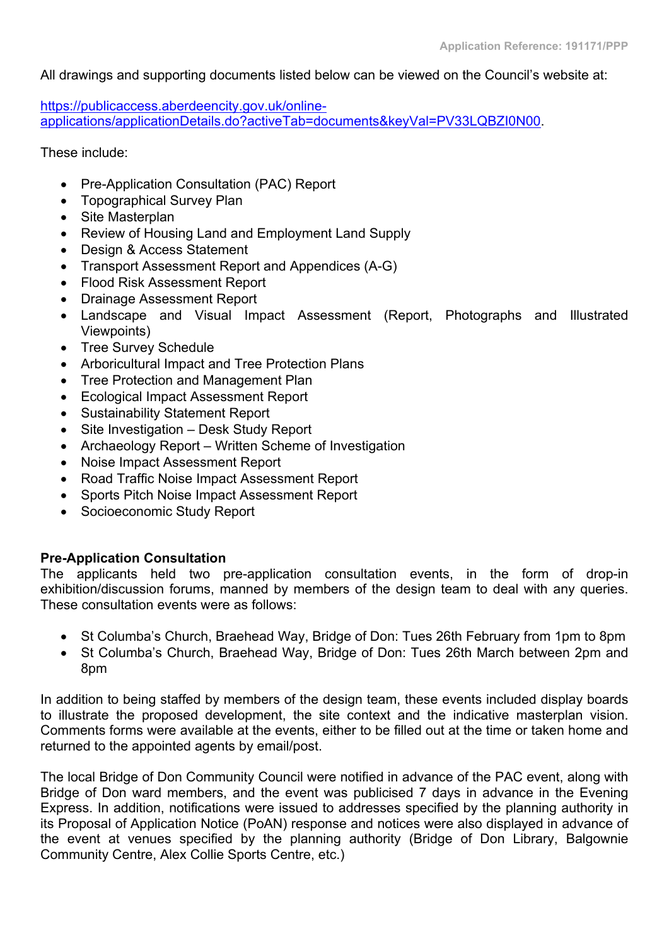All drawings and supporting documents listed below can be viewed on the Council's website at:

[https://publicaccess.aberdeencity.gov.uk/online](https://publicaccess.aberdeencity.gov.uk/online-applications/applicationDetails.do?activeTab=documents&keyVal=PV33LQBZI0N00)[applications/applicationDetails.do?activeTab=documents&keyVal=PV33LQBZI0N00.](https://publicaccess.aberdeencity.gov.uk/online-applications/applicationDetails.do?activeTab=documents&keyVal=PV33LQBZI0N00)

These include:

- Pre-Application Consultation (PAC) Report
- Topographical Survey Plan
- Site Masterplan
- Review of Housing Land and Employment Land Supply
- Design & Access Statement
- Transport Assessment Report and Appendices (A-G)
- Flood Risk Assessment Report
- Drainage Assessment Report
- Landscape and Visual Impact Assessment (Report, Photographs and Illustrated Viewpoints)
- Tree Survey Schedule
- Arboricultural Impact and Tree Protection Plans
- Tree Protection and Management Plan
- Ecological Impact Assessment Report
- Sustainability Statement Report
- Site Investigation Desk Study Report
- Archaeology Report Written Scheme of Investigation
- Noise Impact Assessment Report
- Road Traffic Noise Impact Assessment Report
- Sports Pitch Noise Impact Assessment Report
- Socioeconomic Study Report

# **Pre-Application Consultation**

The applicants held two pre-application consultation events, in the form of drop-in exhibition/discussion forums, manned by members of the design team to deal with any queries. These consultation events were as follows:

- St Columba's Church, Braehead Way, Bridge of Don: Tues 26th February from 1pm to 8pm
- St Columba's Church, Braehead Way, Bridge of Don: Tues 26th March between 2pm and 8pm

In addition to being staffed by members of the design team, these events included display boards to illustrate the proposed development, the site context and the indicative masterplan vision. Comments forms were available at the events, either to be filled out at the time or taken home and returned to the appointed agents by email/post.

The local Bridge of Don Community Council were notified in advance of the PAC event, along with Bridge of Don ward members, and the event was publicised 7 days in advance in the Evening Express. In addition, notifications were issued to addresses specified by the planning authority in its Proposal of Application Notice (PoAN) response and notices were also displayed in advance of the event at venues specified by the planning authority (Bridge of Don Library, Balgownie Community Centre, Alex Collie Sports Centre, etc.)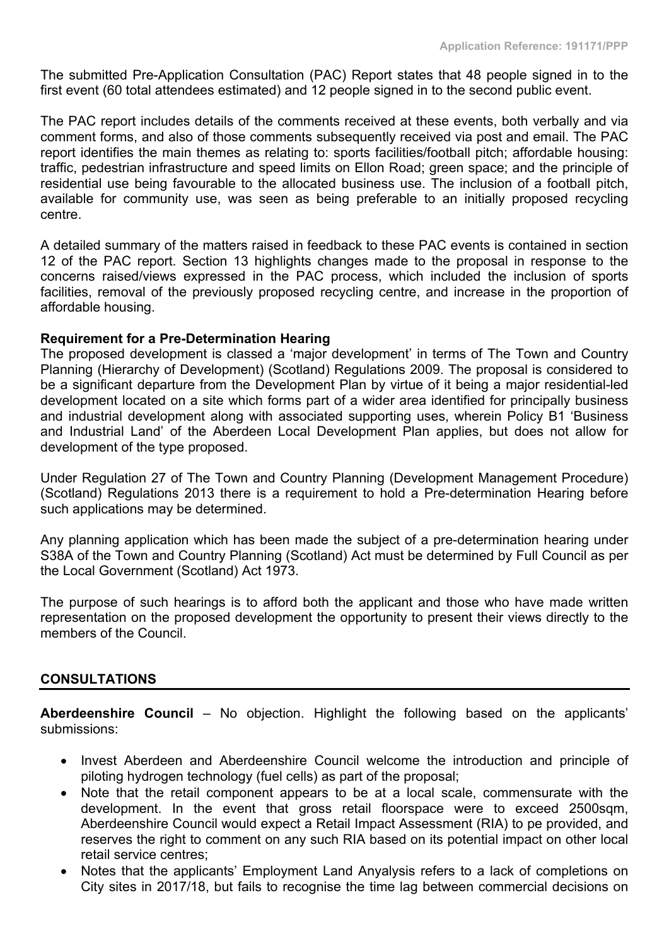The submitted Pre-Application Consultation (PAC) Report states that 48 people signed in to the first event (60 total attendees estimated) and 12 people signed in to the second public event.

The PAC report includes details of the comments received at these events, both verbally and via comment forms, and also of those comments subsequently received via post and email. The PAC report identifies the main themes as relating to: sports facilities/football pitch; affordable housing: traffic, pedestrian infrastructure and speed limits on Ellon Road; green space; and the principle of residential use being favourable to the allocated business use. The inclusion of a football pitch, available for community use, was seen as being preferable to an initially proposed recycling centre.

A detailed summary of the matters raised in feedback to these PAC events is contained in section 12 of the PAC report. Section 13 highlights changes made to the proposal in response to the concerns raised/views expressed in the PAC process, which included the inclusion of sports facilities, removal of the previously proposed recycling centre, and increase in the proportion of affordable housing.

# **Requirement for a Pre-Determination Hearing**

The proposed development is classed a 'major development' in terms of The Town and Country Planning (Hierarchy of Development) (Scotland) Regulations 2009. The proposal is considered to be a significant departure from the Development Plan by virtue of it being a major residential-led development located on a site which forms part of a wider area identified for principally business and industrial development along with associated supporting uses, wherein Policy B1 'Business and Industrial Land' of the Aberdeen Local Development Plan applies, but does not allow for development of the type proposed.

Under Regulation 27 of The Town and Country Planning (Development Management Procedure) (Scotland) Regulations 2013 there is a requirement to hold a Pre-determination Hearing before such applications may be determined.

Any planning application which has been made the subject of a pre-determination hearing under S38A of the Town and Country Planning (Scotland) Act must be determined by Full Council as per the Local Government (Scotland) Act 1973.

The purpose of such hearings is to afford both the applicant and those who have made written representation on the proposed development the opportunity to present their views directly to the members of the Council.

# **CONSULTATIONS**

**Aberdeenshire Council** – No objection. Highlight the following based on the applicants' submissions:

- Invest Aberdeen and Aberdeenshire Council welcome the introduction and principle of piloting hydrogen technology (fuel cells) as part of the proposal;
- Note that the retail component appears to be at a local scale, commensurate with the development. In the event that gross retail floorspace were to exceed 2500sqm, Aberdeenshire Council would expect a Retail Impact Assessment (RIA) to pe provided, and reserves the right to comment on any such RIA based on its potential impact on other local retail service centres;
- Notes that the applicants' Employment Land Anyalysis refers to a lack of completions on City sites in 2017/18, but fails to recognise the time lag between commercial decisions on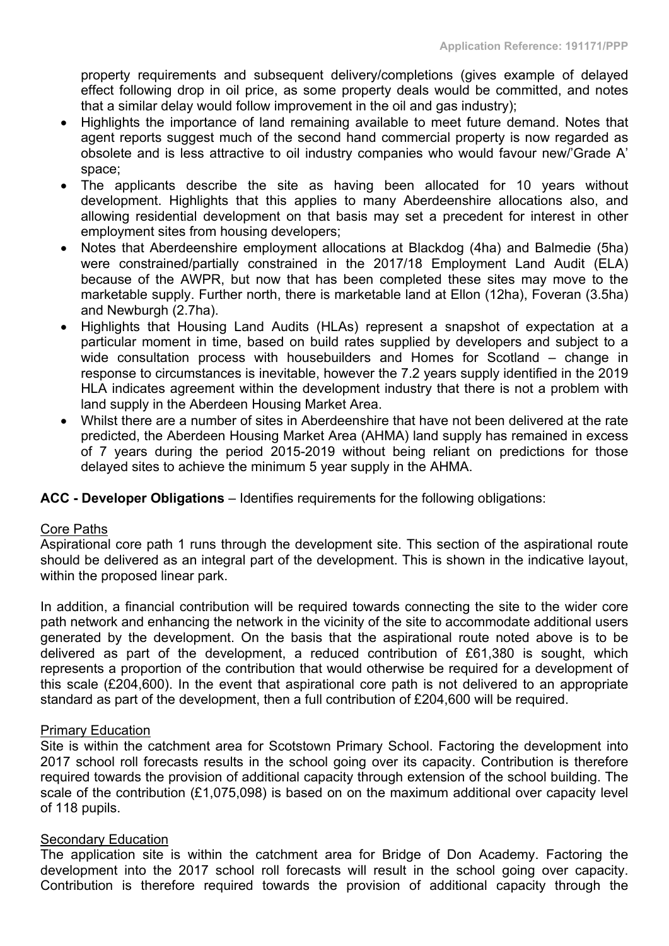property requirements and subsequent delivery/completions (gives example of delayed effect following drop in oil price, as some property deals would be committed, and notes that a similar delay would follow improvement in the oil and gas industry);

- Highlights the importance of land remaining available to meet future demand. Notes that agent reports suggest much of the second hand commercial property is now regarded as obsolete and is less attractive to oil industry companies who would favour new/'Grade A' space;
- The applicants describe the site as having been allocated for 10 years without development. Highlights that this applies to many Aberdeenshire allocations also, and allowing residential development on that basis may set a precedent for interest in other employment sites from housing developers;
- Notes that Aberdeenshire employment allocations at Blackdog (4ha) and Balmedie (5ha) were constrained/partially constrained in the 2017/18 Employment Land Audit (ELA) because of the AWPR, but now that has been completed these sites may move to the marketable supply. Further north, there is marketable land at Ellon (12ha), Foveran (3.5ha) and Newburgh (2.7ha).
- Highlights that Housing Land Audits (HLAs) represent a snapshot of expectation at a particular moment in time, based on build rates supplied by developers and subject to a wide consultation process with housebuilders and Homes for Scotland – change in response to circumstances is inevitable, however the 7.2 years supply identified in the 2019 HLA indicates agreement within the development industry that there is not a problem with land supply in the Aberdeen Housing Market Area.
- Whilst there are a number of sites in Aberdeenshire that have not been delivered at the rate predicted, the Aberdeen Housing Market Area (AHMA) land supply has remained in excess of 7 years during the period 2015-2019 without being reliant on predictions for those delayed sites to achieve the minimum 5 year supply in the AHMA.

**ACC - Developer Obligations** – Identifies requirements for the following obligations:

#### Core Paths

Aspirational core path 1 runs through the development site. This section of the aspirational route should be delivered as an integral part of the development. This is shown in the indicative layout, within the proposed linear park.

In addition, a financial contribution will be required towards connecting the site to the wider core path network and enhancing the network in the vicinity of the site to accommodate additional users generated by the development. On the basis that the aspirational route noted above is to be delivered as part of the development, a reduced contribution of £61,380 is sought, which represents a proportion of the contribution that would otherwise be required for a development of this scale (£204,600). In the event that aspirational core path is not delivered to an appropriate standard as part of the development, then a full contribution of £204,600 will be required.

#### Primary Education

Site is within the catchment area for Scotstown Primary School. Factoring the development into 2017 school roll forecasts results in the school going over its capacity. Contribution is therefore required towards the provision of additional capacity through extension of the school building. The scale of the contribution (£1,075,098) is based on on the maximum additional over capacity level of 118 pupils.

# **Secondary Education**

The application site is within the catchment area for Bridge of Don Academy. Factoring the development into the 2017 school roll forecasts will result in the school going over capacity. Contribution is therefore required towards the provision of additional capacity through the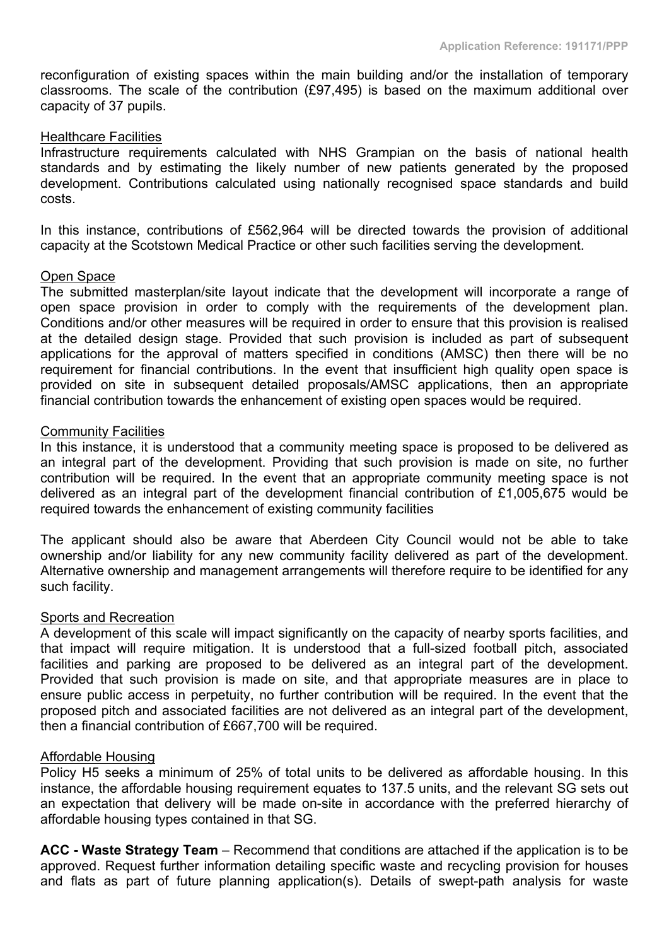reconfiguration of existing spaces within the main building and/or the installation of temporary classrooms. The scale of the contribution (£97,495) is based on the maximum additional over capacity of 37 pupils.

#### Healthcare Facilities

Infrastructure requirements calculated with NHS Grampian on the basis of national health standards and by estimating the likely number of new patients generated by the proposed development. Contributions calculated using nationally recognised space standards and build costs.

In this instance, contributions of £562,964 will be directed towards the provision of additional capacity at the Scotstown Medical Practice or other such facilities serving the development.

#### Open Space

The submitted masterplan/site layout indicate that the development will incorporate a range of open space provision in order to comply with the requirements of the development plan. Conditions and/or other measures will be required in order to ensure that this provision is realised at the detailed design stage. Provided that such provision is included as part of subsequent applications for the approval of matters specified in conditions (AMSC) then there will be no requirement for financial contributions. In the event that insufficient high quality open space is provided on site in subsequent detailed proposals/AMSC applications, then an appropriate financial contribution towards the enhancement of existing open spaces would be required.

# Community Facilities

In this instance, it is understood that a community meeting space is proposed to be delivered as an integral part of the development. Providing that such provision is made on site, no further contribution will be required. In the event that an appropriate community meeting space is not delivered as an integral part of the development financial contribution of £1,005,675 would be required towards the enhancement of existing community facilities

The applicant should also be aware that Aberdeen City Council would not be able to take ownership and/or liability for any new community facility delivered as part of the development. Alternative ownership and management arrangements will therefore require to be identified for any such facility.

#### Sports and Recreation

A development of this scale will impact significantly on the capacity of nearby sports facilities, and that impact will require mitigation. It is understood that a full-sized football pitch, associated facilities and parking are proposed to be delivered as an integral part of the development. Provided that such provision is made on site, and that appropriate measures are in place to ensure public access in perpetuity, no further contribution will be required. In the event that the proposed pitch and associated facilities are not delivered as an integral part of the development, then a financial contribution of £667,700 will be required.

#### Affordable Housing

Policy H5 seeks a minimum of 25% of total units to be delivered as affordable housing. In this instance, the affordable housing requirement equates to 137.5 units, and the relevant SG sets out an expectation that delivery will be made on-site in accordance with the preferred hierarchy of affordable housing types contained in that SG.

**ACC - Waste Strategy Team** – Recommend that conditions are attached if the application is to be approved. Request further information detailing specific waste and recycling provision for houses and flats as part of future planning application(s). Details of swept-path analysis for waste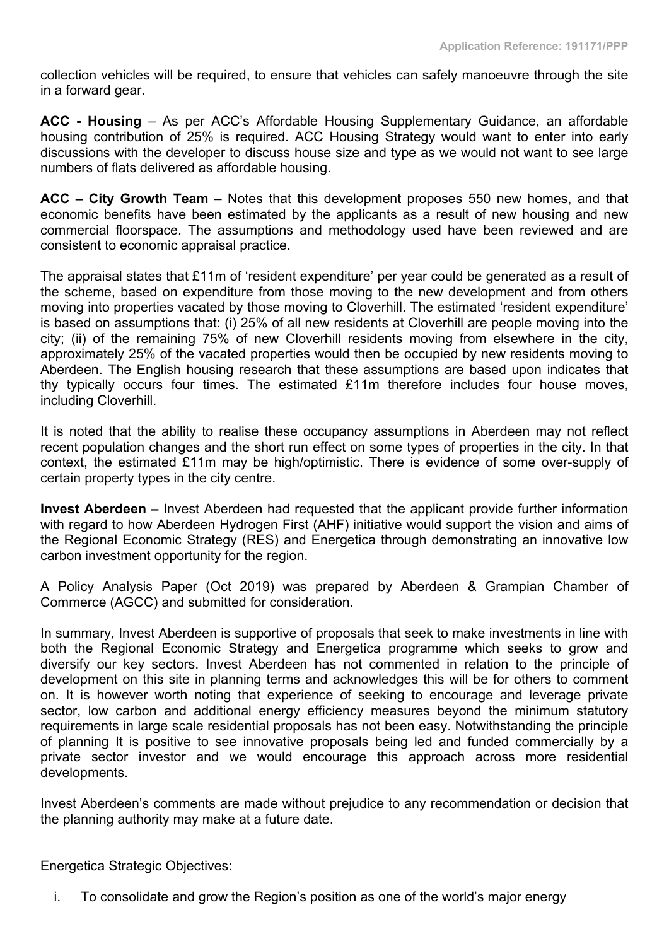collection vehicles will be required, to ensure that vehicles can safely manoeuvre through the site in a forward gear.

**ACC - Housing** – As per ACC's Affordable Housing Supplementary Guidance, an affordable housing contribution of 25% is required. ACC Housing Strategy would want to enter into early discussions with the developer to discuss house size and type as we would not want to see large numbers of flats delivered as affordable housing.

**ACC – City Growth Team** – Notes that this development proposes 550 new homes, and that economic benefits have been estimated by the applicants as a result of new housing and new commercial floorspace. The assumptions and methodology used have been reviewed and are consistent to economic appraisal practice.

The appraisal states that £11m of 'resident expenditure' per year could be generated as a result of the scheme, based on expenditure from those moving to the new development and from others moving into properties vacated by those moving to Cloverhill. The estimated 'resident expenditure' is based on assumptions that: (i) 25% of all new residents at Cloverhill are people moving into the city; (ii) of the remaining 75% of new Cloverhill residents moving from elsewhere in the city, approximately 25% of the vacated properties would then be occupied by new residents moving to Aberdeen. The English housing research that these assumptions are based upon indicates that thy typically occurs four times. The estimated £11m therefore includes four house moves, including Cloverhill.

It is noted that the ability to realise these occupancy assumptions in Aberdeen may not reflect recent population changes and the short run effect on some types of properties in the city. In that context, the estimated £11m may be high/optimistic. There is evidence of some over-supply of certain property types in the city centre.

**Invest Aberdeen –** Invest Aberdeen had requested that the applicant provide further information with regard to how Aberdeen Hydrogen First (AHF) initiative would support the vision and aims of the Regional Economic Strategy (RES) and Energetica through demonstrating an innovative low carbon investment opportunity for the region.

A Policy Analysis Paper (Oct 2019) was prepared by Aberdeen & Grampian Chamber of Commerce (AGCC) and submitted for consideration.

In summary, Invest Aberdeen is supportive of proposals that seek to make investments in line with both the Regional Economic Strategy and Energetica programme which seeks to grow and diversify our key sectors. Invest Aberdeen has not commented in relation to the principle of development on this site in planning terms and acknowledges this will be for others to comment on. It is however worth noting that experience of seeking to encourage and leverage private sector, low carbon and additional energy efficiency measures beyond the minimum statutory requirements in large scale residential proposals has not been easy. Notwithstanding the principle of planning It is positive to see innovative proposals being led and funded commercially by a private sector investor and we would encourage this approach across more residential developments.

Invest Aberdeen's comments are made without prejudice to any recommendation or decision that the planning authority may make at a future date.

Energetica Strategic Objectives:

i. To consolidate and grow the Region's position as one of the world's major energy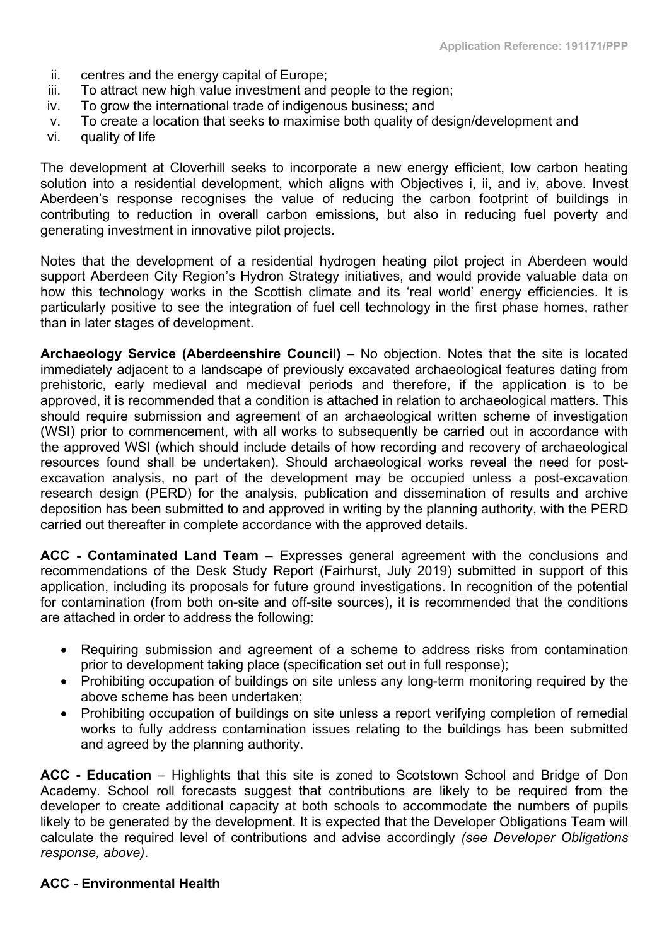- ii. centres and the energy capital of Europe;
- iii. To attract new high value investment and people to the region;
- iv. To grow the international trade of indigenous business; and
- v. To create a location that seeks to maximise both quality of design/development and
- vi. quality of life

The development at Cloverhill seeks to incorporate a new energy efficient, low carbon heating solution into a residential development, which aligns with Objectives i, ii, and iv, above. Invest Aberdeen's response recognises the value of reducing the carbon footprint of buildings in contributing to reduction in overall carbon emissions, but also in reducing fuel poverty and generating investment in innovative pilot projects.

Notes that the development of a residential hydrogen heating pilot project in Aberdeen would support Aberdeen City Region's Hydron Strategy initiatives, and would provide valuable data on how this technology works in the Scottish climate and its 'real world' energy efficiencies. It is particularly positive to see the integration of fuel cell technology in the first phase homes, rather than in later stages of development.

**Archaeology Service (Aberdeenshire Council)** – No objection. Notes that the site is located immediately adjacent to a landscape of previously excavated archaeological features dating from prehistoric, early medieval and medieval periods and therefore, if the application is to be approved, it is recommended that a condition is attached in relation to archaeological matters. This should require submission and agreement of an archaeological written scheme of investigation (WSI) prior to commencement, with all works to subsequently be carried out in accordance with the approved WSI (which should include details of how recording and recovery of archaeological resources found shall be undertaken). Should archaeological works reveal the need for postexcavation analysis, no part of the development may be occupied unless a post-excavation research design (PERD) for the analysis, publication and dissemination of results and archive deposition has been submitted to and approved in writing by the planning authority, with the PERD carried out thereafter in complete accordance with the approved details.

**ACC - Contaminated Land Team** – Expresses general agreement with the conclusions and recommendations of the Desk Study Report (Fairhurst, July 2019) submitted in support of this application, including its proposals for future ground investigations. In recognition of the potential for contamination (from both on-site and off-site sources), it is recommended that the conditions are attached in order to address the following:

- Requiring submission and agreement of a scheme to address risks from contamination prior to development taking place (specification set out in full response);
- Prohibiting occupation of buildings on site unless any long-term monitoring required by the above scheme has been undertaken;
- Prohibiting occupation of buildings on site unless a report verifying completion of remedial works to fully address contamination issues relating to the buildings has been submitted and agreed by the planning authority.

**ACC - Education** – Highlights that this site is zoned to Scotstown School and Bridge of Don Academy. School roll forecasts suggest that contributions are likely to be required from the developer to create additional capacity at both schools to accommodate the numbers of pupils likely to be generated by the development. It is expected that the Developer Obligations Team will calculate the required level of contributions and advise accordingly *(see Developer Obligations response, above)*.

# **ACC - Environmental Health**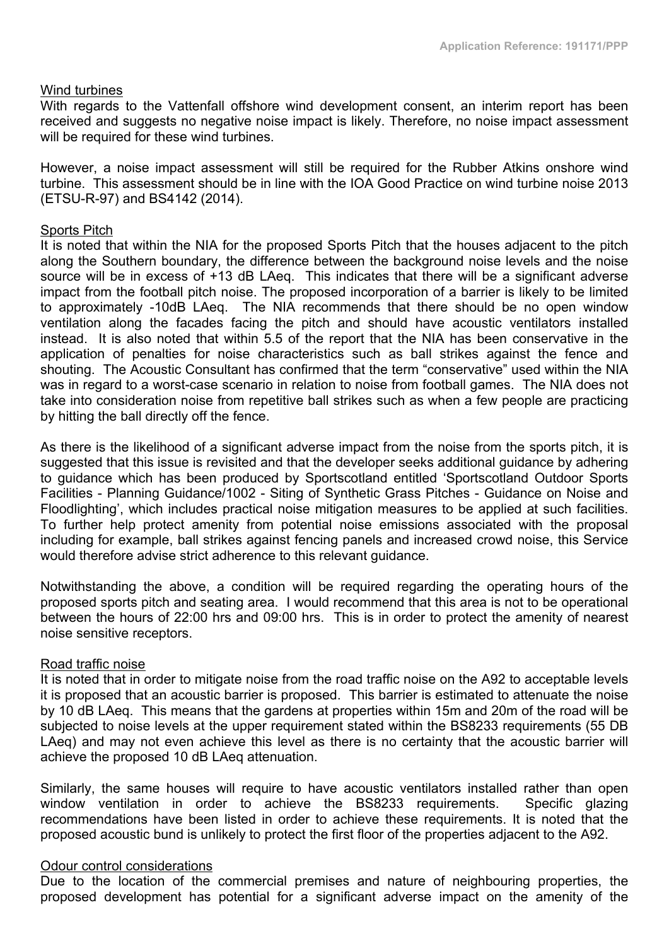#### Wind turbines

With regards to the Vattenfall offshore wind development consent, an interim report has been received and suggests no negative noise impact is likely. Therefore, no noise impact assessment will be required for these wind turbines.

However, a noise impact assessment will still be required for the Rubber Atkins onshore wind turbine. This assessment should be in line with the IOA Good Practice on wind turbine noise 2013 (ETSU-R-97) and BS4142 (2014).

# Sports Pitch

It is noted that within the NIA for the proposed Sports Pitch that the houses adjacent to the pitch along the Southern boundary, the difference between the background noise levels and the noise source will be in excess of +13 dB LAeq. This indicates that there will be a significant adverse impact from the football pitch noise. The proposed incorporation of a barrier is likely to be limited to approximately -10dB LAeq. The NIA recommends that there should be no open window ventilation along the facades facing the pitch and should have acoustic ventilators installed instead. It is also noted that within 5.5 of the report that the NIA has been conservative in the application of penalties for noise characteristics such as ball strikes against the fence and shouting. The Acoustic Consultant has confirmed that the term "conservative" used within the NIA was in regard to a worst-case scenario in relation to noise from football games. The NIA does not take into consideration noise from repetitive ball strikes such as when a few people are practicing by hitting the ball directly off the fence.

As there is the likelihood of a significant adverse impact from the noise from the sports pitch, it is suggested that this issue is revisited and that the developer seeks additional guidance by adhering to guidance which has been produced by Sportscotland entitled 'Sportscotland Outdoor Sports Facilities - Planning Guidance/1002 - Siting of Synthetic Grass Pitches - Guidance on Noise and Floodlighting', which includes practical noise mitigation measures to be applied at such facilities. To further help protect amenity from potential noise emissions associated with the proposal including for example, ball strikes against fencing panels and increased crowd noise, this Service would therefore advise strict adherence to this relevant guidance.

Notwithstanding the above, a condition will be required regarding the operating hours of the proposed sports pitch and seating area. I would recommend that this area is not to be operational between the hours of 22:00 hrs and 09:00 hrs. This is in order to protect the amenity of nearest noise sensitive receptors.

#### Road traffic noise

It is noted that in order to mitigate noise from the road traffic noise on the A92 to acceptable levels it is proposed that an acoustic barrier is proposed. This barrier is estimated to attenuate the noise by 10 dB LAeq. This means that the gardens at properties within 15m and 20m of the road will be subjected to noise levels at the upper requirement stated within the BS8233 requirements (55 DB LAeq) and may not even achieve this level as there is no certainty that the acoustic barrier will achieve the proposed 10 dB LAeq attenuation.

Similarly, the same houses will require to have acoustic ventilators installed rather than open window ventilation in order to achieve the BS8233 requirements. Specific glazing recommendations have been listed in order to achieve these requirements. It is noted that the proposed acoustic bund is unlikely to protect the first floor of the properties adjacent to the A92.

#### Odour control considerations

Due to the location of the commercial premises and nature of neighbouring properties, the proposed development has potential for a significant adverse impact on the amenity of the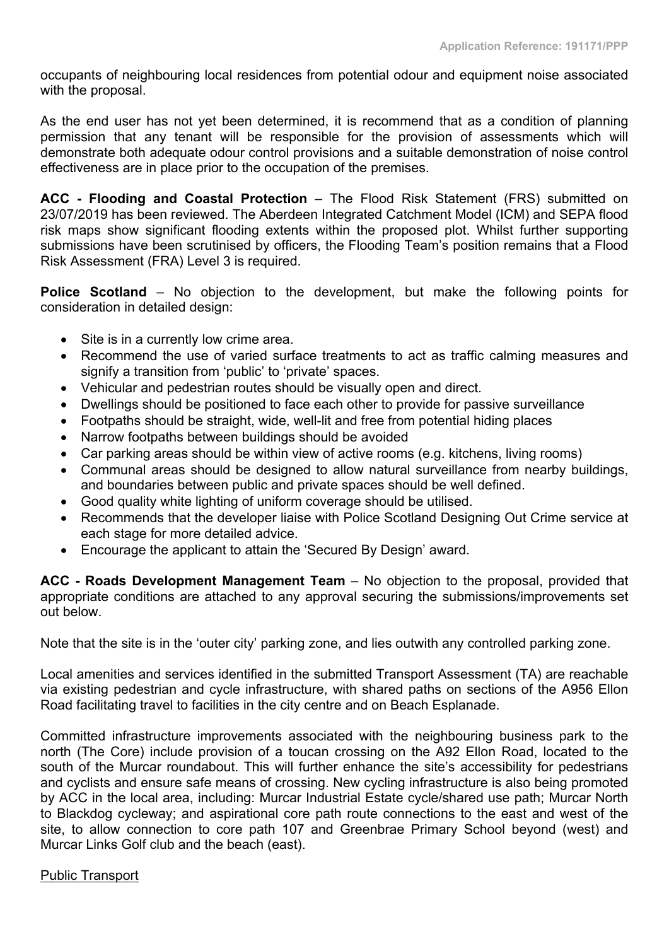occupants of neighbouring local residences from potential odour and equipment noise associated with the proposal.

As the end user has not yet been determined, it is recommend that as a condition of planning permission that any tenant will be responsible for the provision of assessments which will demonstrate both adequate odour control provisions and a suitable demonstration of noise control effectiveness are in place prior to the occupation of the premises.

**ACC - Flooding and Coastal Protection** – The Flood Risk Statement (FRS) submitted on 23/07/2019 has been reviewed. The Aberdeen Integrated Catchment Model (ICM) and SEPA flood risk maps show significant flooding extents within the proposed plot. Whilst further supporting submissions have been scrutinised by officers, the Flooding Team's position remains that a Flood Risk Assessment (FRA) Level 3 is required.

**Police Scotland** – No objection to the development, but make the following points for consideration in detailed design:

- Site is in a currently low crime area.
- Recommend the use of varied surface treatments to act as traffic calming measures and signify a transition from 'public' to 'private' spaces.
- Vehicular and pedestrian routes should be visually open and direct.
- Dwellings should be positioned to face each other to provide for passive surveillance
- Footpaths should be straight, wide, well-lit and free from potential hiding places
- Narrow footpaths between buildings should be avoided
- Car parking areas should be within view of active rooms (e.g. kitchens, living rooms)
- Communal areas should be designed to allow natural surveillance from nearby buildings, and boundaries between public and private spaces should be well defined.
- Good quality white lighting of uniform coverage should be utilised.
- Recommends that the developer liaise with Police Scotland Designing Out Crime service at each stage for more detailed advice.
- Encourage the applicant to attain the 'Secured By Design' award.

**ACC - Roads Development Management Team** – No objection to the proposal, provided that appropriate conditions are attached to any approval securing the submissions/improvements set out below.

Note that the site is in the 'outer city' parking zone, and lies outwith any controlled parking zone.

Local amenities and services identified in the submitted Transport Assessment (TA) are reachable via existing pedestrian and cycle infrastructure, with shared paths on sections of the A956 Ellon Road facilitating travel to facilities in the city centre and on Beach Esplanade.

Committed infrastructure improvements associated with the neighbouring business park to the north (The Core) include provision of a toucan crossing on the A92 Ellon Road, located to the south of the Murcar roundabout. This will further enhance the site's accessibility for pedestrians and cyclists and ensure safe means of crossing. New cycling infrastructure is also being promoted by ACC in the local area, including: Murcar Industrial Estate cycle/shared use path; Murcar North to Blackdog cycleway; and aspirational core path route connections to the east and west of the site, to allow connection to core path 107 and Greenbrae Primary School beyond (west) and Murcar Links Golf club and the beach (east).

# Public Transport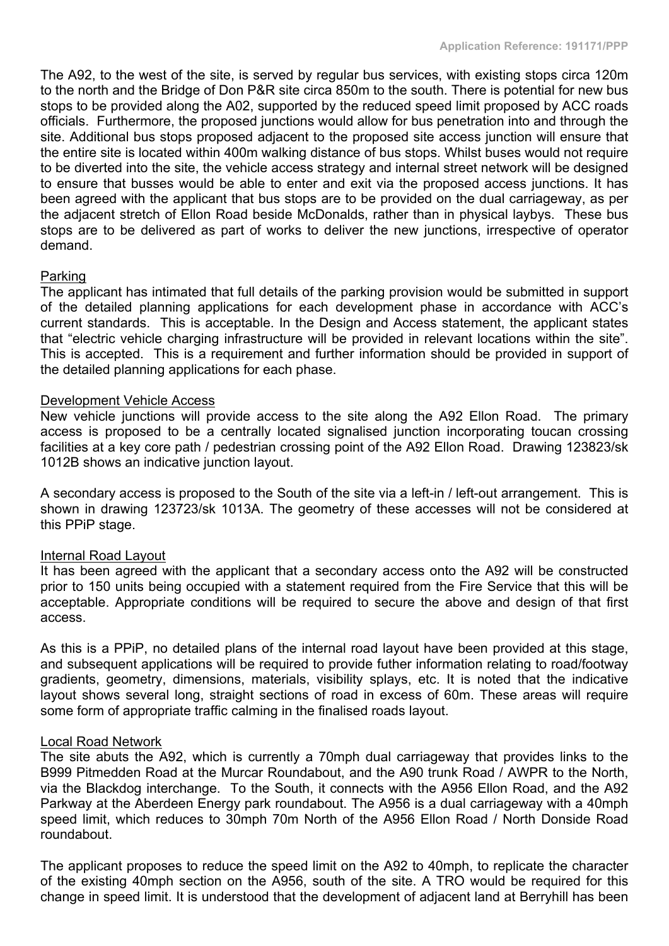The A92, to the west of the site, is served by regular bus services, with existing stops circa 120m to the north and the Bridge of Don P&R site circa 850m to the south. There is potential for new bus stops to be provided along the A02, supported by the reduced speed limit proposed by ACC roads officials. Furthermore, the proposed junctions would allow for bus penetration into and through the site. Additional bus stops proposed adjacent to the proposed site access junction will ensure that the entire site is located within 400m walking distance of bus stops. Whilst buses would not require to be diverted into the site, the vehicle access strategy and internal street network will be designed to ensure that busses would be able to enter and exit via the proposed access junctions. It has been agreed with the applicant that bus stops are to be provided on the dual carriageway, as per the adjacent stretch of Ellon Road beside McDonalds, rather than in physical laybys. These bus stops are to be delivered as part of works to deliver the new junctions, irrespective of operator demand.

# Parking

The applicant has intimated that full details of the parking provision would be submitted in support of the detailed planning applications for each development phase in accordance with ACC's current standards. This is acceptable. In the Design and Access statement, the applicant states that "electric vehicle charging infrastructure will be provided in relevant locations within the site". This is accepted. This is a requirement and further information should be provided in support of the detailed planning applications for each phase.

#### Development Vehicle Access

New vehicle junctions will provide access to the site along the A92 Ellon Road. The primary access is proposed to be a centrally located signalised junction incorporating toucan crossing facilities at a key core path / pedestrian crossing point of the A92 Ellon Road. Drawing 123823/sk 1012B shows an indicative junction layout.

A secondary access is proposed to the South of the site via a left-in / left-out arrangement. This is shown in drawing 123723/sk 1013A. The geometry of these accesses will not be considered at this PPiP stage.

# Internal Road Layout

It has been agreed with the applicant that a secondary access onto the A92 will be constructed prior to 150 units being occupied with a statement required from the Fire Service that this will be acceptable. Appropriate conditions will be required to secure the above and design of that first access.

As this is a PPiP, no detailed plans of the internal road layout have been provided at this stage, and subsequent applications will be required to provide futher information relating to road/footway gradients, geometry, dimensions, materials, visibility splays, etc. It is noted that the indicative layout shows several long, straight sections of road in excess of 60m. These areas will require some form of appropriate traffic calming in the finalised roads layout.

#### Local Road Network

The site abuts the A92, which is currently a 70mph dual carriageway that provides links to the B999 Pitmedden Road at the Murcar Roundabout, and the A90 trunk Road / AWPR to the North, via the Blackdog interchange. To the South, it connects with the A956 Ellon Road, and the A92 Parkway at the Aberdeen Energy park roundabout. The A956 is a dual carriageway with a 40mph speed limit, which reduces to 30mph 70m North of the A956 Ellon Road / North Donside Road roundabout.

The applicant proposes to reduce the speed limit on the A92 to 40mph, to replicate the character of the existing 40mph section on the A956, south of the site. A TRO would be required for this change in speed limit. It is understood that the development of adjacent land at Berryhill has been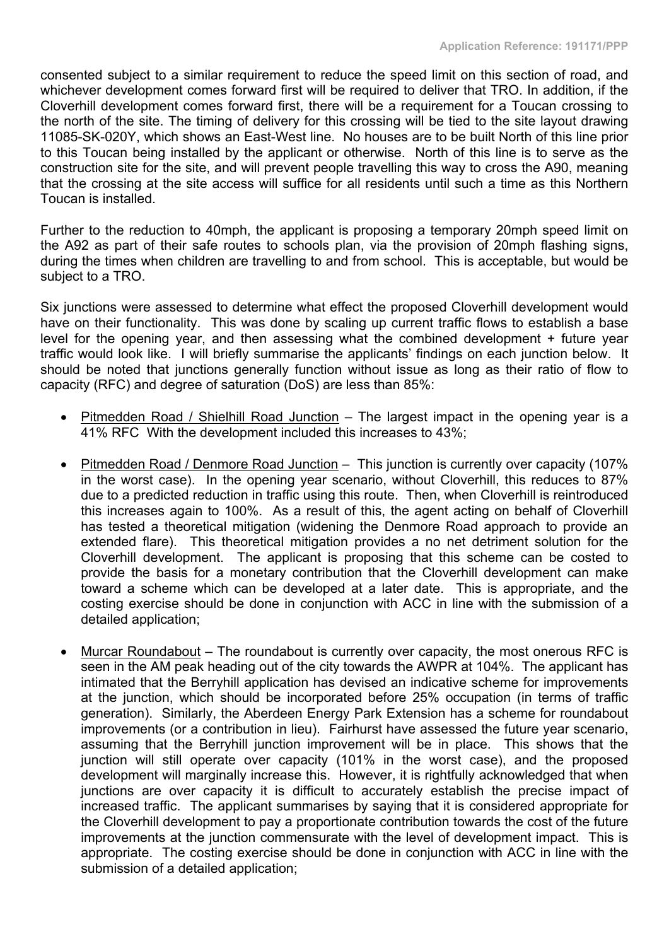consented subject to a similar requirement to reduce the speed limit on this section of road, and whichever development comes forward first will be required to deliver that TRO. In addition, if the Cloverhill development comes forward first, there will be a requirement for a Toucan crossing to the north of the site. The timing of delivery for this crossing will be tied to the site layout drawing 11085-SK-020Y, which shows an East-West line. No houses are to be built North of this line prior to this Toucan being installed by the applicant or otherwise. North of this line is to serve as the construction site for the site, and will prevent people travelling this way to cross the A90, meaning that the crossing at the site access will suffice for all residents until such a time as this Northern Toucan is installed.

Further to the reduction to 40mph, the applicant is proposing a temporary 20mph speed limit on the A92 as part of their safe routes to schools plan, via the provision of 20mph flashing signs, during the times when children are travelling to and from school. This is acceptable, but would be subject to a TRO.

Six junctions were assessed to determine what effect the proposed Cloverhill development would have on their functionality. This was done by scaling up current traffic flows to establish a base level for the opening year, and then assessing what the combined development + future year traffic would look like. I will briefly summarise the applicants' findings on each junction below. It should be noted that junctions generally function without issue as long as their ratio of flow to capacity (RFC) and degree of saturation (DoS) are less than 85%:

- Pitmedden Road / Shielhill Road Junction The largest impact in the opening year is a 41% RFC With the development included this increases to 43%;
- Pitmedden Road / Denmore Road Junction This junction is currently over capacity (107%) in the worst case). In the opening year scenario, without Cloverhill, this reduces to 87% due to a predicted reduction in traffic using this route. Then, when Cloverhill is reintroduced this increases again to 100%. As a result of this, the agent acting on behalf of Cloverhill has tested a theoretical mitigation (widening the Denmore Road approach to provide an extended flare). This theoretical mitigation provides a no net detriment solution for the Cloverhill development. The applicant is proposing that this scheme can be costed to provide the basis for a monetary contribution that the Cloverhill development can make toward a scheme which can be developed at a later date. This is appropriate, and the costing exercise should be done in conjunction with ACC in line with the submission of a detailed application;
- Murcar Roundabout The roundabout is currently over capacity, the most onerous RFC is seen in the AM peak heading out of the city towards the AWPR at 104%. The applicant has intimated that the Berryhill application has devised an indicative scheme for improvements at the junction, which should be incorporated before 25% occupation (in terms of traffic generation). Similarly, the Aberdeen Energy Park Extension has a scheme for roundabout improvements (or a contribution in lieu). Fairhurst have assessed the future year scenario, assuming that the Berryhill junction improvement will be in place. This shows that the junction will still operate over capacity (101% in the worst case), and the proposed development will marginally increase this. However, it is rightfully acknowledged that when junctions are over capacity it is difficult to accurately establish the precise impact of increased traffic. The applicant summarises by saying that it is considered appropriate for the Cloverhill development to pay a proportionate contribution towards the cost of the future improvements at the junction commensurate with the level of development impact. This is appropriate. The costing exercise should be done in conjunction with ACC in line with the submission of a detailed application;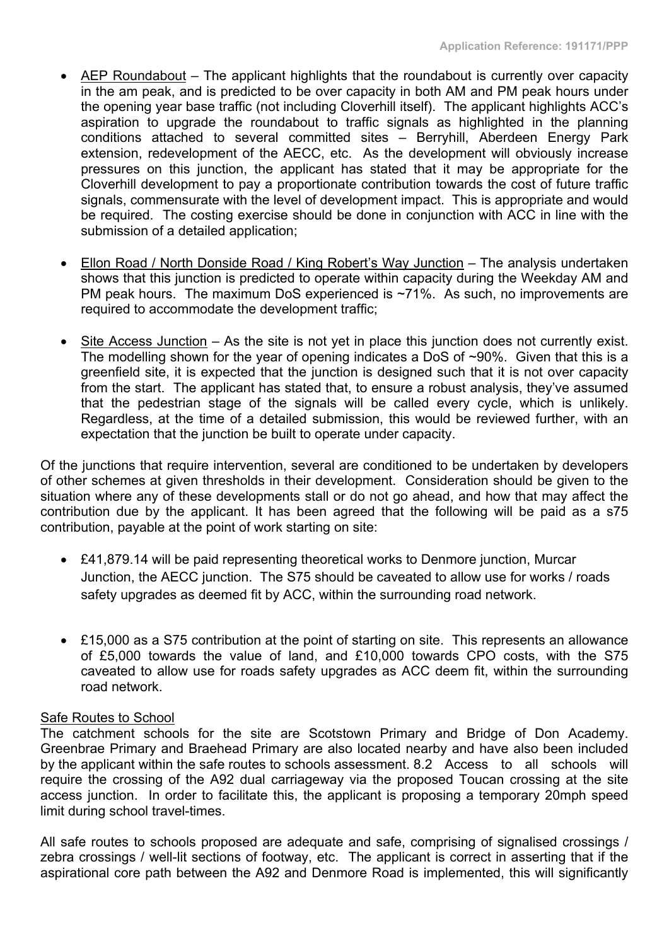- AEP Roundabout The applicant highlights that the roundabout is currently over capacity in the am peak, and is predicted to be over capacity in both AM and PM peak hours under the opening year base traffic (not including Cloverhill itself). The applicant highlights ACC's aspiration to upgrade the roundabout to traffic signals as highlighted in the planning conditions attached to several committed sites – Berryhill, Aberdeen Energy Park extension, redevelopment of the AECC, etc. As the development will obviously increase pressures on this junction, the applicant has stated that it may be appropriate for the Cloverhill development to pay a proportionate contribution towards the cost of future traffic signals, commensurate with the level of development impact. This is appropriate and would be required. The costing exercise should be done in conjunction with ACC in line with the submission of a detailed application;
- Ellon Road / North Donside Road / King Robert's Way Junction The analysis undertaken shows that this junction is predicted to operate within capacity during the Weekday AM and PM peak hours. The maximum DoS experienced is ~71%. As such, no improvements are required to accommodate the development traffic;
- Site Access Junction As the site is not yet in place this junction does not currently exist. The modelling shown for the year of opening indicates a DoS of ~90%. Given that this is a greenfield site, it is expected that the junction is designed such that it is not over capacity from the start. The applicant has stated that, to ensure a robust analysis, they've assumed that the pedestrian stage of the signals will be called every cycle, which is unlikely. Regardless, at the time of a detailed submission, this would be reviewed further, with an expectation that the junction be built to operate under capacity.

Of the junctions that require intervention, several are conditioned to be undertaken by developers of other schemes at given thresholds in their development. Consideration should be given to the situation where any of these developments stall or do not go ahead, and how that may affect the contribution due by the applicant. It has been agreed that the following will be paid as a s75 contribution, payable at the point of work starting on site:

- £41,879.14 will be paid representing theoretical works to Denmore junction, Murcar Junction, the AECC junction. The S75 should be caveated to allow use for works / roads safety upgrades as deemed fit by ACC, within the surrounding road network.
- £15,000 as a S75 contribution at the point of starting on site. This represents an allowance of £5,000 towards the value of land, and £10,000 towards CPO costs, with the S75 caveated to allow use for roads safety upgrades as ACC deem fit, within the surrounding road network.

# Safe Routes to School

The catchment schools for the site are Scotstown Primary and Bridge of Don Academy. Greenbrae Primary and Braehead Primary are also located nearby and have also been included by the applicant within the safe routes to schools assessment. 8.2 Access to all schools will require the crossing of the A92 dual carriageway via the proposed Toucan crossing at the site access junction. In order to facilitate this, the applicant is proposing a temporary 20mph speed limit during school travel-times.

All safe routes to schools proposed are adequate and safe, comprising of signalised crossings / zebra crossings / well-lit sections of footway, etc. The applicant is correct in asserting that if the aspirational core path between the A92 and Denmore Road is implemented, this will significantly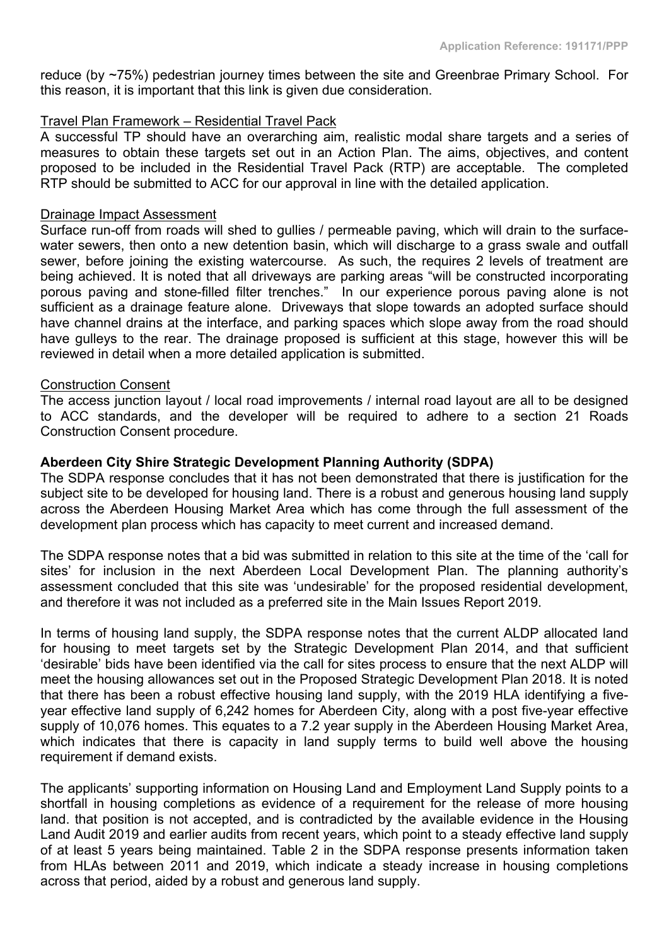reduce (by ~75%) pedestrian journey times between the site and Greenbrae Primary School. For this reason, it is important that this link is given due consideration.

# Travel Plan Framework – Residential Travel Pack

A successful TP should have an overarching aim, realistic modal share targets and a series of measures to obtain these targets set out in an Action Plan. The aims, objectives, and content proposed to be included in the Residential Travel Pack (RTP) are acceptable. The completed RTP should be submitted to ACC for our approval in line with the detailed application.

#### Drainage Impact Assessment

Surface run-off from roads will shed to gullies / permeable paving, which will drain to the surfacewater sewers, then onto a new detention basin, which will discharge to a grass swale and outfall sewer, before joining the existing watercourse. As such, the requires 2 levels of treatment are being achieved. It is noted that all driveways are parking areas "will be constructed incorporating porous paving and stone-filled filter trenches." In our experience porous paving alone is not sufficient as a drainage feature alone. Driveways that slope towards an adopted surface should have channel drains at the interface, and parking spaces which slope away from the road should have gulleys to the rear. The drainage proposed is sufficient at this stage, however this will be reviewed in detail when a more detailed application is submitted.

#### Construction Consent

The access junction layout / local road improvements / internal road layout are all to be designed to ACC standards, and the developer will be required to adhere to a section 21 Roads Construction Consent procedure.

# **Aberdeen City Shire Strategic Development Planning Authority (SDPA)**

The SDPA response concludes that it has not been demonstrated that there is justification for the subject site to be developed for housing land. There is a robust and generous housing land supply across the Aberdeen Housing Market Area which has come through the full assessment of the development plan process which has capacity to meet current and increased demand.

The SDPA response notes that a bid was submitted in relation to this site at the time of the 'call for sites' for inclusion in the next Aberdeen Local Development Plan. The planning authority's assessment concluded that this site was 'undesirable' for the proposed residential development, and therefore it was not included as a preferred site in the Main Issues Report 2019.

In terms of housing land supply, the SDPA response notes that the current ALDP allocated land for housing to meet targets set by the Strategic Development Plan 2014, and that sufficient 'desirable' bids have been identified via the call for sites process to ensure that the next ALDP will meet the housing allowances set out in the Proposed Strategic Development Plan 2018. It is noted that there has been a robust effective housing land supply, with the 2019 HLA identifying a fiveyear effective land supply of 6,242 homes for Aberdeen City, along with a post five-year effective supply of 10,076 homes. This equates to a 7.2 year supply in the Aberdeen Housing Market Area, which indicates that there is capacity in land supply terms to build well above the housing requirement if demand exists.

The applicants' supporting information on Housing Land and Employment Land Supply points to a shortfall in housing completions as evidence of a requirement for the release of more housing land. that position is not accepted, and is contradicted by the available evidence in the Housing Land Audit 2019 and earlier audits from recent years, which point to a steady effective land supply of at least 5 years being maintained. Table 2 in the SDPA response presents information taken from HLAs between 2011 and 2019, which indicate a steady increase in housing completions across that period, aided by a robust and generous land supply.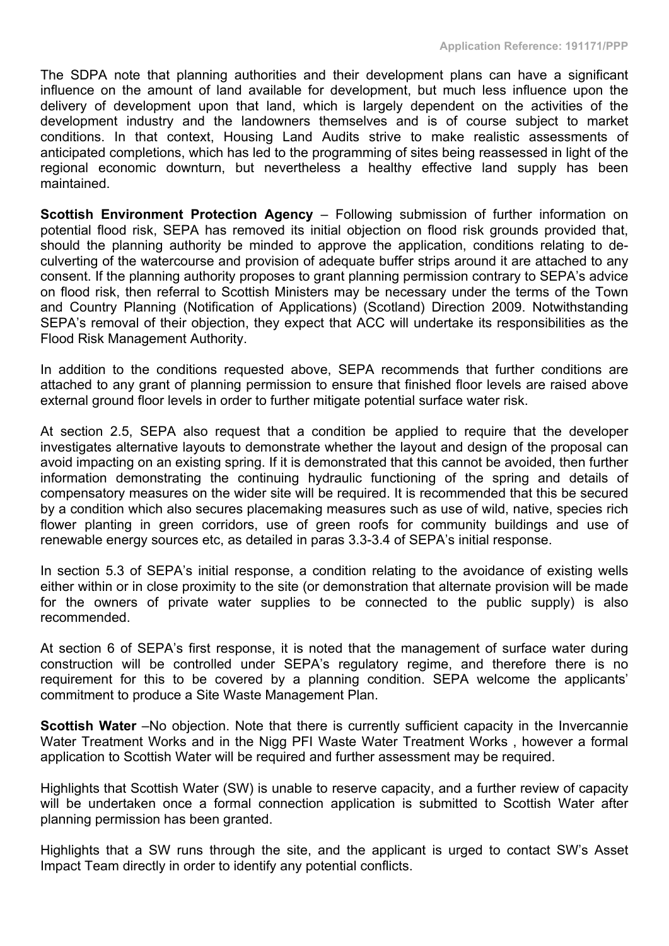The SDPA note that planning authorities and their development plans can have a significant influence on the amount of land available for development, but much less influence upon the delivery of development upon that land, which is largely dependent on the activities of the development industry and the landowners themselves and is of course subject to market conditions. In that context, Housing Land Audits strive to make realistic assessments of anticipated completions, which has led to the programming of sites being reassessed in light of the regional economic downturn, but nevertheless a healthy effective land supply has been maintained.

**Scottish Environment Protection Agency** – Following submission of further information on potential flood risk, SEPA has removed its initial objection on flood risk grounds provided that, should the planning authority be minded to approve the application, conditions relating to deculverting of the watercourse and provision of adequate buffer strips around it are attached to any consent. If the planning authority proposes to grant planning permission contrary to SEPA's advice on flood risk, then referral to Scottish Ministers may be necessary under the terms of the Town and Country Planning (Notification of Applications) (Scotland) Direction 2009. Notwithstanding SEPA's removal of their objection, they expect that ACC will undertake its responsibilities as the Flood Risk Management Authority.

In addition to the conditions requested above, SEPA recommends that further conditions are attached to any grant of planning permission to ensure that finished floor levels are raised above external ground floor levels in order to further mitigate potential surface water risk.

At section 2.5, SEPA also request that a condition be applied to require that the developer investigates alternative layouts to demonstrate whether the layout and design of the proposal can avoid impacting on an existing spring. If it is demonstrated that this cannot be avoided, then further information demonstrating the continuing hydraulic functioning of the spring and details of compensatory measures on the wider site will be required. It is recommended that this be secured by a condition which also secures placemaking measures such as use of wild, native, species rich flower planting in green corridors, use of green roofs for community buildings and use of renewable energy sources etc, as detailed in paras 3.3-3.4 of SEPA's initial response.

In section 5.3 of SEPA's initial response, a condition relating to the avoidance of existing wells either within or in close proximity to the site (or demonstration that alternate provision will be made for the owners of private water supplies to be connected to the public supply) is also recommended.

At section 6 of SEPA's first response, it is noted that the management of surface water during construction will be controlled under SEPA's regulatory regime, and therefore there is no requirement for this to be covered by a planning condition. SEPA welcome the applicants' commitment to produce a Site Waste Management Plan.

**Scottish Water** –No objection. Note that there is currently sufficient capacity in the Invercannie Water Treatment Works and in the Nigg PFI Waste Water Treatment Works , however a formal application to Scottish Water will be required and further assessment may be required.

Highlights that Scottish Water (SW) is unable to reserve capacity, and a further review of capacity will be undertaken once a formal connection application is submitted to Scottish Water after planning permission has been granted.

Highlights that a SW runs through the site, and the applicant is urged to contact SW's Asset Impact Team directly in order to identify any potential conflicts.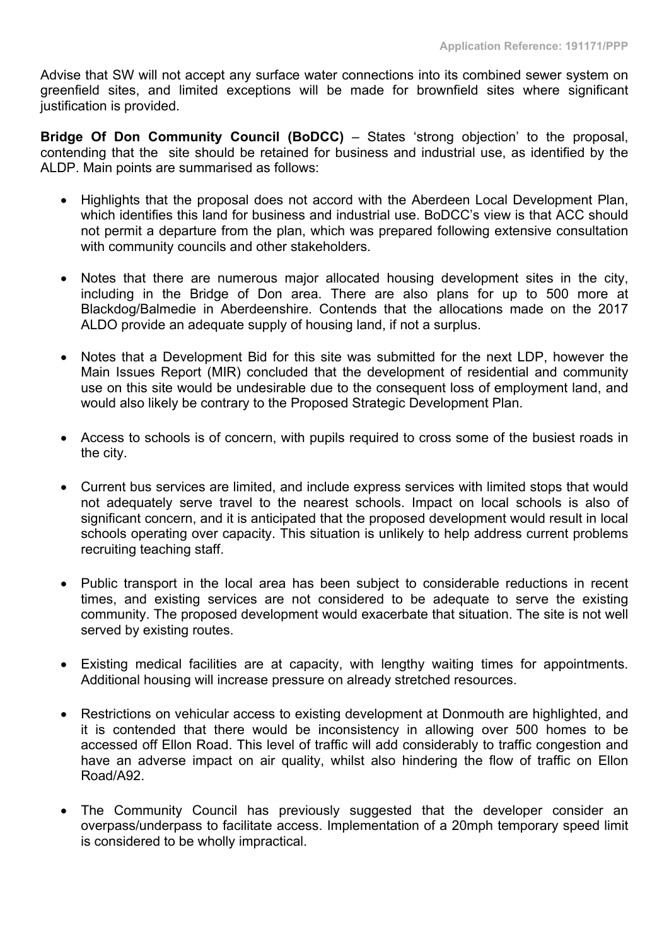Advise that SW will not accept any surface water connections into its combined sewer system on greenfield sites, and limited exceptions will be made for brownfield sites where significant justification is provided.

**Bridge Of Don Community Council (BoDCC)** – States 'strong objection' to the proposal, contending that the site should be retained for business and industrial use, as identified by the ALDP. Main points are summarised as follows:

- Highlights that the proposal does not accord with the Aberdeen Local Development Plan, which identifies this land for business and industrial use. BoDCC's view is that ACC should not permit a departure from the plan, which was prepared following extensive consultation with community councils and other stakeholders.
- Notes that there are numerous major allocated housing development sites in the city, including in the Bridge of Don area. There are also plans for up to 500 more at Blackdog/Balmedie in Aberdeenshire. Contends that the allocations made on the 2017 ALDO provide an adequate supply of housing land, if not a surplus.
- Notes that a Development Bid for this site was submitted for the next LDP, however the Main Issues Report (MIR) concluded that the development of residential and community use on this site would be undesirable due to the consequent loss of employment land, and would also likely be contrary to the Proposed Strategic Development Plan.
- Access to schools is of concern, with pupils required to cross some of the busiest roads in the city.
- Current bus services are limited, and include express services with limited stops that would not adequately serve travel to the nearest schools. Impact on local schools is also of significant concern, and it is anticipated that the proposed development would result in local schools operating over capacity. This situation is unlikely to help address current problems recruiting teaching staff.
- Public transport in the local area has been subject to considerable reductions in recent times, and existing services are not considered to be adequate to serve the existing community. The proposed development would exacerbate that situation. The site is not well served by existing routes.
- Existing medical facilities are at capacity, with lengthy waiting times for appointments. Additional housing will increase pressure on already stretched resources.
- Restrictions on vehicular access to existing development at Donmouth are highlighted, and it is contended that there would be inconsistency in allowing over 500 homes to be accessed off Ellon Road. This level of traffic will add considerably to traffic congestion and have an adverse impact on air quality, whilst also hindering the flow of traffic on Ellon Road/A92.
- The Community Council has previously suggested that the developer consider an overpass/underpass to facilitate access. Implementation of a 20mph temporary speed limit is considered to be wholly impractical.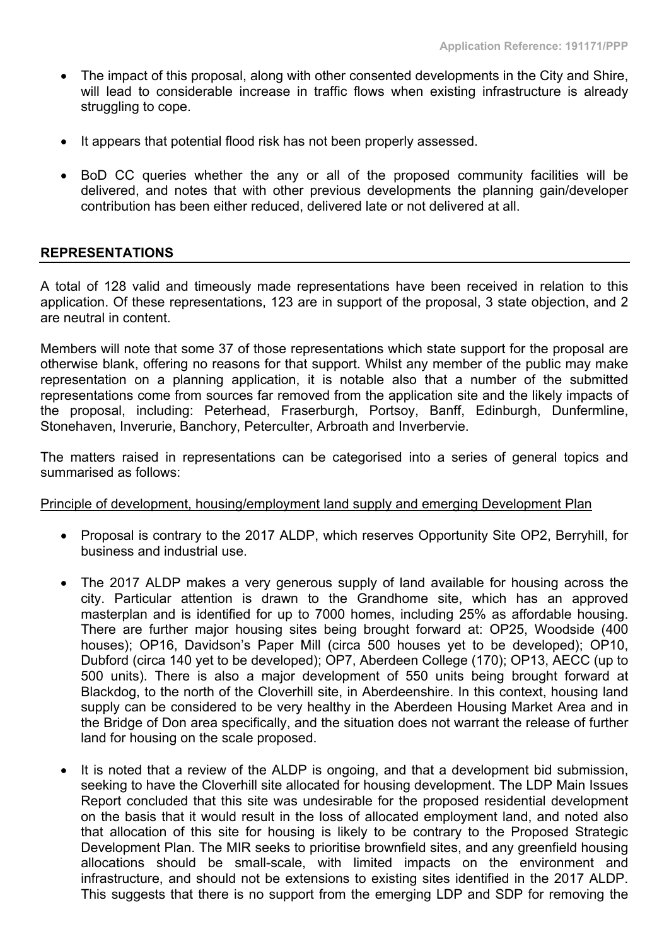- The impact of this proposal, along with other consented developments in the City and Shire, will lead to considerable increase in traffic flows when existing infrastructure is already struggling to cope.
- It appears that potential flood risk has not been properly assessed.
- BoD CC queries whether the any or all of the proposed community facilities will be delivered, and notes that with other previous developments the planning gain/developer contribution has been either reduced, delivered late or not delivered at all.

# **REPRESENTATIONS**

A total of 128 valid and timeously made representations have been received in relation to this application. Of these representations, 123 are in support of the proposal, 3 state objection, and 2 are neutral in content.

Members will note that some 37 of those representations which state support for the proposal are otherwise blank, offering no reasons for that support. Whilst any member of the public may make representation on a planning application, it is notable also that a number of the submitted representations come from sources far removed from the application site and the likely impacts of the proposal, including: Peterhead, Fraserburgh, Portsoy, Banff, Edinburgh, Dunfermline, Stonehaven, Inverurie, Banchory, Peterculter, Arbroath and Inverbervie.

The matters raised in representations can be categorised into a series of general topics and summarised as follows:

#### Principle of development, housing/employment land supply and emerging Development Plan

- Proposal is contrary to the 2017 ALDP, which reserves Opportunity Site OP2, Berryhill, for business and industrial use.
- The 2017 ALDP makes a very generous supply of land available for housing across the city. Particular attention is drawn to the Grandhome site, which has an approved masterplan and is identified for up to 7000 homes, including 25% as affordable housing. There are further major housing sites being brought forward at: OP25, Woodside (400 houses); OP16, Davidson's Paper Mill (circa 500 houses yet to be developed); OP10, Dubford (circa 140 yet to be developed); OP7, Aberdeen College (170); OP13, AECC (up to 500 units). There is also a major development of 550 units being brought forward at Blackdog, to the north of the Cloverhill site, in Aberdeenshire. In this context, housing land supply can be considered to be very healthy in the Aberdeen Housing Market Area and in the Bridge of Don area specifically, and the situation does not warrant the release of further land for housing on the scale proposed.
- It is noted that a review of the ALDP is ongoing, and that a development bid submission, seeking to have the Cloverhill site allocated for housing development. The LDP Main Issues Report concluded that this site was undesirable for the proposed residential development on the basis that it would result in the loss of allocated employment land, and noted also that allocation of this site for housing is likely to be contrary to the Proposed Strategic Development Plan. The MIR seeks to prioritise brownfield sites, and any greenfield housing allocations should be small-scale, with limited impacts on the environment and infrastructure, and should not be extensions to existing sites identified in the 2017 ALDP. This suggests that there is no support from the emerging LDP and SDP for removing the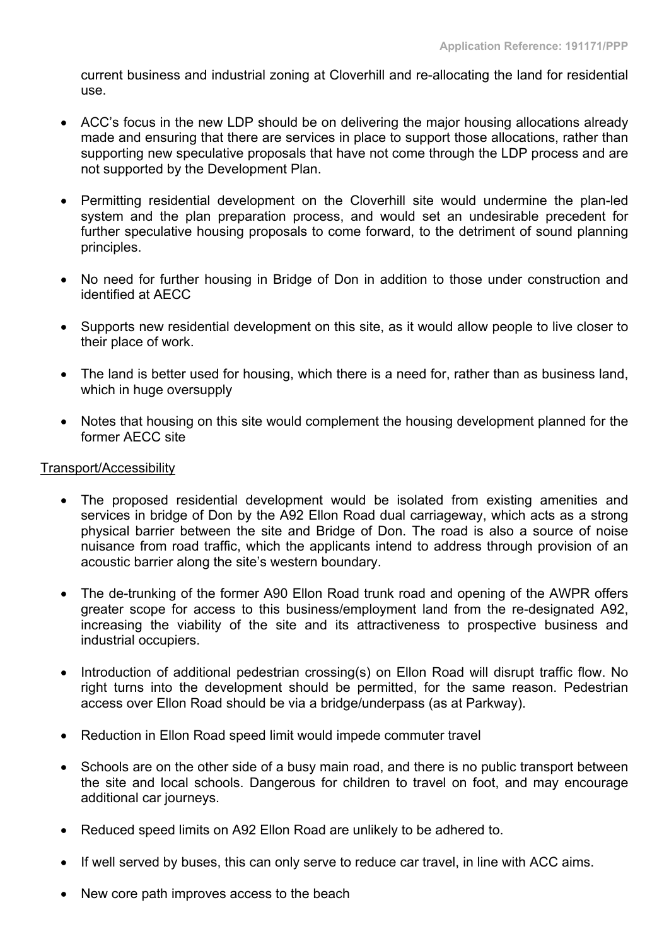current business and industrial zoning at Cloverhill and re-allocating the land for residential use.

- ACC's focus in the new LDP should be on delivering the major housing allocations already made and ensuring that there are services in place to support those allocations, rather than supporting new speculative proposals that have not come through the LDP process and are not supported by the Development Plan.
- Permitting residential development on the Cloverhill site would undermine the plan-led system and the plan preparation process, and would set an undesirable precedent for further speculative housing proposals to come forward, to the detriment of sound planning principles.
- No need for further housing in Bridge of Don in addition to those under construction and identified at AECC
- Supports new residential development on this site, as it would allow people to live closer to their place of work.
- The land is better used for housing, which there is a need for, rather than as business land, which in huge oversupply
- Notes that housing on this site would complement the housing development planned for the former AECC site

# Transport/Accessibility

- The proposed residential development would be isolated from existing amenities and services in bridge of Don by the A92 Ellon Road dual carriageway, which acts as a strong physical barrier between the site and Bridge of Don. The road is also a source of noise nuisance from road traffic, which the applicants intend to address through provision of an acoustic barrier along the site's western boundary.
- The de-trunking of the former A90 Ellon Road trunk road and opening of the AWPR offers greater scope for access to this business/employment land from the re-designated A92, increasing the viability of the site and its attractiveness to prospective business and industrial occupiers.
- Introduction of additional pedestrian crossing(s) on Ellon Road will disrupt traffic flow. No right turns into the development should be permitted, for the same reason. Pedestrian access over Ellon Road should be via a bridge/underpass (as at Parkway).
- Reduction in Ellon Road speed limit would impede commuter travel
- Schools are on the other side of a busy main road, and there is no public transport between the site and local schools. Dangerous for children to travel on foot, and may encourage additional car journeys.
- Reduced speed limits on A92 Ellon Road are unlikely to be adhered to.
- If well served by buses, this can only serve to reduce car travel, in line with ACC aims.
- New core path improves access to the beach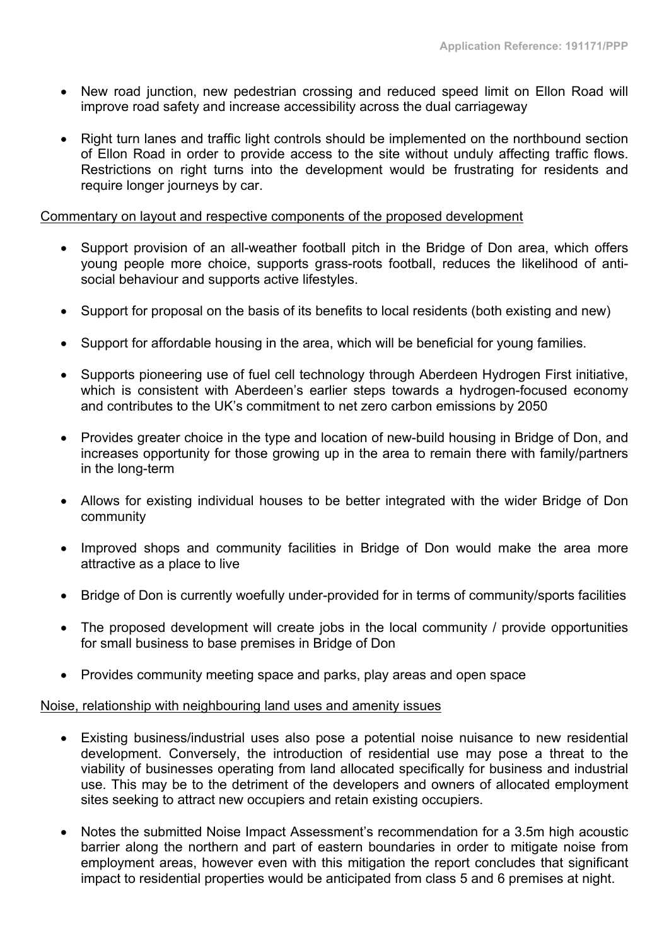- New road junction, new pedestrian crossing and reduced speed limit on Ellon Road will improve road safety and increase accessibility across the dual carriageway
- Right turn lanes and traffic light controls should be implemented on the northbound section of Ellon Road in order to provide access to the site without unduly affecting traffic flows. Restrictions on right turns into the development would be frustrating for residents and require longer journeys by car.

#### Commentary on layout and respective components of the proposed development

- Support provision of an all-weather football pitch in the Bridge of Don area, which offers young people more choice, supports grass-roots football, reduces the likelihood of antisocial behaviour and supports active lifestyles.
- Support for proposal on the basis of its benefits to local residents (both existing and new)
- Support for affordable housing in the area, which will be beneficial for young families.
- Supports pioneering use of fuel cell technology through Aberdeen Hydrogen First initiative, which is consistent with Aberdeen's earlier steps towards a hydrogen-focused economy and contributes to the UK's commitment to net zero carbon emissions by 2050
- Provides greater choice in the type and location of new-build housing in Bridge of Don, and increases opportunity for those growing up in the area to remain there with family/partners in the long-term
- Allows for existing individual houses to be better integrated with the wider Bridge of Don community
- Improved shops and community facilities in Bridge of Don would make the area more attractive as a place to live
- Bridge of Don is currently woefully under-provided for in terms of community/sports facilities
- The proposed development will create jobs in the local community / provide opportunities for small business to base premises in Bridge of Don
- Provides community meeting space and parks, play areas and open space

#### Noise, relationship with neighbouring land uses and amenity issues

- Existing business/industrial uses also pose a potential noise nuisance to new residential development. Conversely, the introduction of residential use may pose a threat to the viability of businesses operating from land allocated specifically for business and industrial use. This may be to the detriment of the developers and owners of allocated employment sites seeking to attract new occupiers and retain existing occupiers.
- Notes the submitted Noise Impact Assessment's recommendation for a 3.5m high acoustic barrier along the northern and part of eastern boundaries in order to mitigate noise from employment areas, however even with this mitigation the report concludes that significant impact to residential properties would be anticipated from class 5 and 6 premises at night.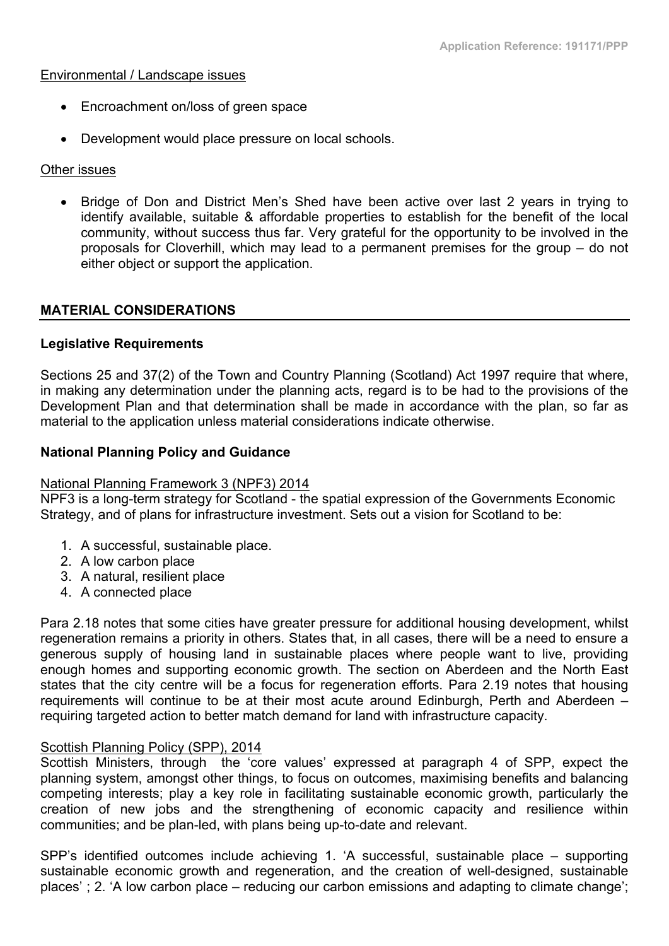#### Environmental / Landscape issues

- Encroachment on/loss of green space
- Development would place pressure on local schools.

# Other issues

• Bridge of Don and District Men's Shed have been active over last 2 years in trying to identify available, suitable & affordable properties to establish for the benefit of the local community, without success thus far. Very grateful for the opportunity to be involved in the proposals for Cloverhill, which may lead to a permanent premises for the group – do not either object or support the application.

# **MATERIAL CONSIDERATIONS**

# **Legislative Requirements**

Sections 25 and 37(2) of the Town and Country Planning (Scotland) Act 1997 require that where, in making any determination under the planning acts, regard is to be had to the provisions of the Development Plan and that determination shall be made in accordance with the plan, so far as material to the application unless material considerations indicate otherwise.

# **National Planning Policy and Guidance**

#### National Planning Framework 3 (NPF3) 2014

NPF3 is a long-term strategy for Scotland - the spatial expression of the Governments Economic Strategy, and of plans for infrastructure investment. Sets out a vision for Scotland to be:

- 1. A successful, sustainable place.
- 2. A low carbon place
- 3. A natural, resilient place
- 4. A connected place

Para 2.18 notes that some cities have greater pressure for additional housing development, whilst regeneration remains a priority in others. States that, in all cases, there will be a need to ensure a generous supply of housing land in sustainable places where people want to live, providing enough homes and supporting economic growth. The section on Aberdeen and the North East states that the city centre will be a focus for regeneration efforts. Para 2.19 notes that housing requirements will continue to be at their most acute around Edinburgh, Perth and Aberdeen – requiring targeted action to better match demand for land with infrastructure capacity.

#### Scottish Planning Policy (SPP), 2014

Scottish Ministers, through the 'core values' expressed at paragraph 4 of SPP, expect the planning system, amongst other things, to focus on outcomes, maximising benefits and balancing competing interests; play a key role in facilitating sustainable economic growth, particularly the creation of new jobs and the strengthening of economic capacity and resilience within communities; and be plan-led, with plans being up-to-date and relevant.

SPP's identified outcomes include achieving 1. 'A successful, sustainable place – supporting sustainable economic growth and regeneration, and the creation of well-designed, sustainable places' ; 2. 'A low carbon place – reducing our carbon emissions and adapting to climate change';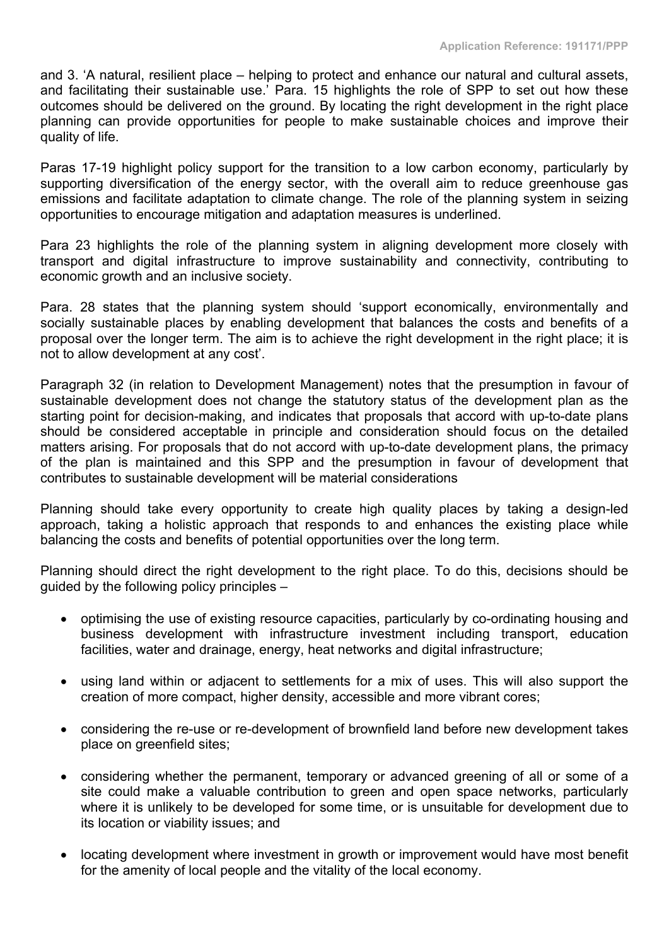and 3. 'A natural, resilient place – helping to protect and enhance our natural and cultural assets, and facilitating their sustainable use.' Para. 15 highlights the role of SPP to set out how these outcomes should be delivered on the ground. By locating the right development in the right place planning can provide opportunities for people to make sustainable choices and improve their quality of life.

Paras 17-19 highlight policy support for the transition to a low carbon economy, particularly by supporting diversification of the energy sector, with the overall aim to reduce greenhouse gas emissions and facilitate adaptation to climate change. The role of the planning system in seizing opportunities to encourage mitigation and adaptation measures is underlined.

Para 23 highlights the role of the planning system in aligning development more closely with transport and digital infrastructure to improve sustainability and connectivity, contributing to economic growth and an inclusive society.

Para. 28 states that the planning system should 'support economically, environmentally and socially sustainable places by enabling development that balances the costs and benefits of a proposal over the longer term. The aim is to achieve the right development in the right place; it is not to allow development at any cost'.

Paragraph 32 (in relation to Development Management) notes that the presumption in favour of sustainable development does not change the statutory status of the development plan as the starting point for decision-making, and indicates that proposals that accord with up-to-date plans should be considered acceptable in principle and consideration should focus on the detailed matters arising. For proposals that do not accord with up-to-date development plans, the primacy of the plan is maintained and this SPP and the presumption in favour of development that contributes to sustainable development will be material considerations

Planning should take every opportunity to create high quality places by taking a design-led approach, taking a holistic approach that responds to and enhances the existing place while balancing the costs and benefits of potential opportunities over the long term.

Planning should direct the right development to the right place. To do this, decisions should be guided by the following policy principles –

- optimising the use of existing resource capacities, particularly by co-ordinating housing and business development with infrastructure investment including transport, education facilities, water and drainage, energy, heat networks and digital infrastructure;
- using land within or adjacent to settlements for a mix of uses. This will also support the creation of more compact, higher density, accessible and more vibrant cores;
- considering the re-use or re-development of brownfield land before new development takes place on greenfield sites;
- considering whether the permanent, temporary or advanced greening of all or some of a site could make a valuable contribution to green and open space networks, particularly where it is unlikely to be developed for some time, or is unsuitable for development due to its location or viability issues; and
- locating development where investment in growth or improvement would have most benefit for the amenity of local people and the vitality of the local economy.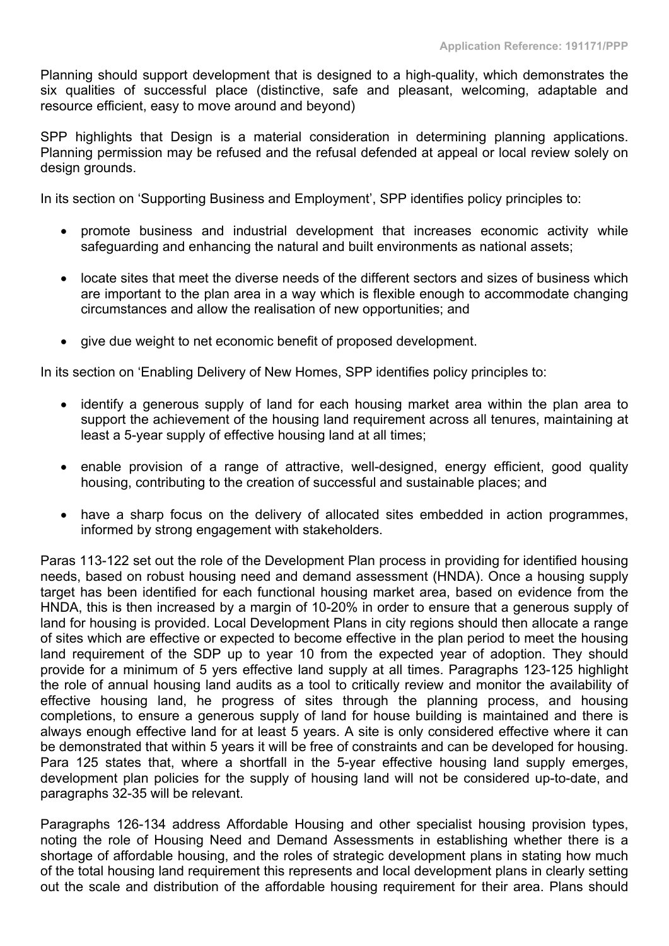Planning should support development that is designed to a high-quality, which demonstrates the six qualities of successful place (distinctive, safe and pleasant, welcoming, adaptable and resource efficient, easy to move around and beyond)

SPP highlights that Design is a material consideration in determining planning applications. Planning permission may be refused and the refusal defended at appeal or local review solely on design grounds.

In its section on 'Supporting Business and Employment', SPP identifies policy principles to:

- promote business and industrial development that increases economic activity while safeguarding and enhancing the natural and built environments as national assets;
- locate sites that meet the diverse needs of the different sectors and sizes of business which are important to the plan area in a way which is flexible enough to accommodate changing circumstances and allow the realisation of new opportunities; and
- give due weight to net economic benefit of proposed development.

In its section on 'Enabling Delivery of New Homes, SPP identifies policy principles to:

- identify a generous supply of land for each housing market area within the plan area to support the achievement of the housing land requirement across all tenures, maintaining at least a 5-year supply of effective housing land at all times;
- enable provision of a range of attractive, well-designed, energy efficient, good quality housing, contributing to the creation of successful and sustainable places; and
- have a sharp focus on the delivery of allocated sites embedded in action programmes, informed by strong engagement with stakeholders.

Paras 113-122 set out the role of the Development Plan process in providing for identified housing needs, based on robust housing need and demand assessment (HNDA). Once a housing supply target has been identified for each functional housing market area, based on evidence from the HNDA, this is then increased by a margin of 10-20% in order to ensure that a generous supply of land for housing is provided. Local Development Plans in city regions should then allocate a range of sites which are effective or expected to become effective in the plan period to meet the housing land requirement of the SDP up to year 10 from the expected year of adoption. They should provide for a minimum of 5 yers effective land supply at all times. Paragraphs 123-125 highlight the role of annual housing land audits as a tool to critically review and monitor the availability of effective housing land, he progress of sites through the planning process, and housing completions, to ensure a generous supply of land for house building is maintained and there is always enough effective land for at least 5 years. A site is only considered effective where it can be demonstrated that within 5 years it will be free of constraints and can be developed for housing. Para 125 states that, where a shortfall in the 5-year effective housing land supply emerges, development plan policies for the supply of housing land will not be considered up-to-date, and paragraphs 32-35 will be relevant.

Paragraphs 126-134 address Affordable Housing and other specialist housing provision types, noting the role of Housing Need and Demand Assessments in establishing whether there is a shortage of affordable housing, and the roles of strategic development plans in stating how much of the total housing land requirement this represents and local development plans in clearly setting out the scale and distribution of the affordable housing requirement for their area. Plans should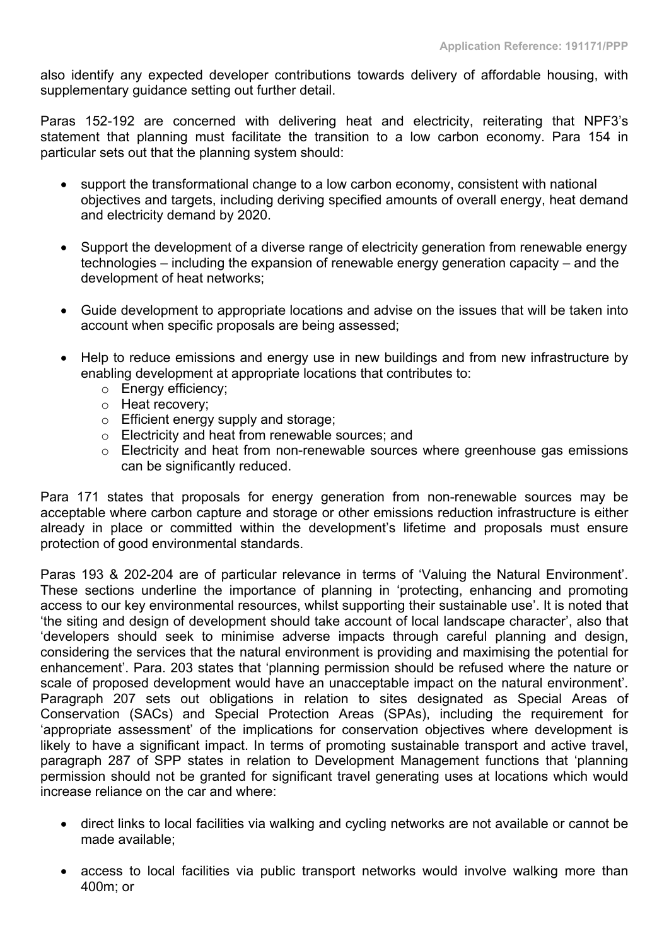also identify any expected developer contributions towards delivery of affordable housing, with supplementary guidance setting out further detail.

Paras 152-192 are concerned with delivering heat and electricity, reiterating that NPF3's statement that planning must facilitate the transition to a low carbon economy. Para 154 in particular sets out that the planning system should:

- support the transformational change to a low carbon economy, consistent with national objectives and targets, including deriving specified amounts of overall energy, heat demand and electricity demand by 2020.
- Support the development of a diverse range of electricity generation from renewable energy technologies – including the expansion of renewable energy generation capacity – and the development of heat networks;
- Guide development to appropriate locations and advise on the issues that will be taken into account when specific proposals are being assessed;
- Help to reduce emissions and energy use in new buildings and from new infrastructure by enabling development at appropriate locations that contributes to:
	- o Energy efficiency;
	- o Heat recovery;
	- o Efficient energy supply and storage;
	- o Electricity and heat from renewable sources; and
	- o Electricity and heat from non-renewable sources where greenhouse gas emissions can be significantly reduced.

Para 171 states that proposals for energy generation from non-renewable sources may be acceptable where carbon capture and storage or other emissions reduction infrastructure is either already in place or committed within the development's lifetime and proposals must ensure protection of good environmental standards.

Paras 193 & 202-204 are of particular relevance in terms of 'Valuing the Natural Environment'. These sections underline the importance of planning in 'protecting, enhancing and promoting access to our key environmental resources, whilst supporting their sustainable use'. It is noted that 'the siting and design of development should take account of local landscape character', also that 'developers should seek to minimise adverse impacts through careful planning and design, considering the services that the natural environment is providing and maximising the potential for enhancement'. Para. 203 states that 'planning permission should be refused where the nature or scale of proposed development would have an unacceptable impact on the natural environment'. Paragraph 207 sets out obligations in relation to sites designated as Special Areas of Conservation (SACs) and Special Protection Areas (SPAs), including the requirement for 'appropriate assessment' of the implications for conservation objectives where development is likely to have a significant impact. In terms of promoting sustainable transport and active travel, paragraph 287 of SPP states in relation to Development Management functions that 'planning permission should not be granted for significant travel generating uses at locations which would increase reliance on the car and where:

- direct links to local facilities via walking and cycling networks are not available or cannot be made available;
- access to local facilities via public transport networks would involve walking more than 400m; or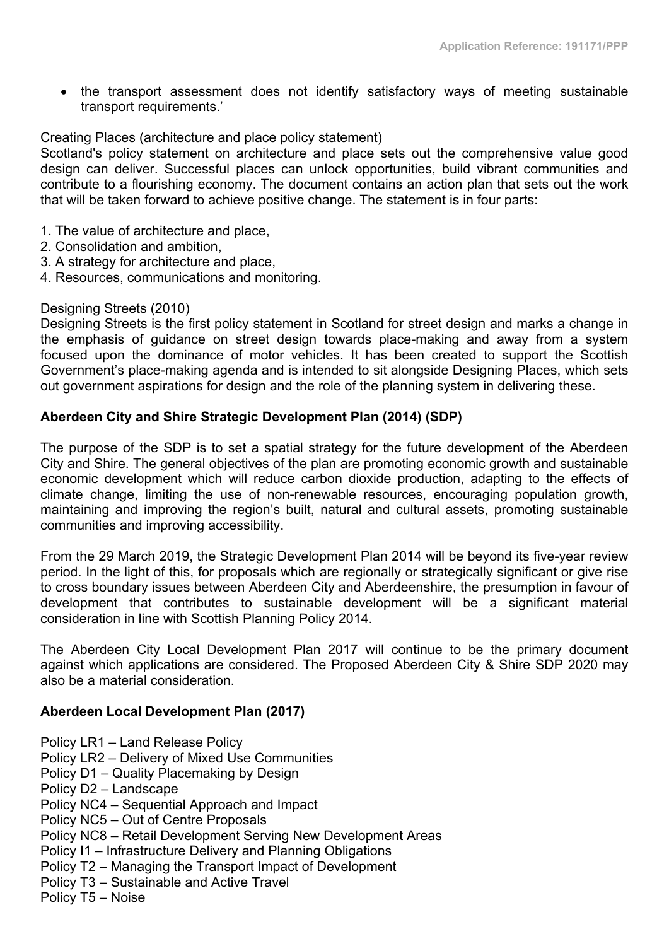• the transport assessment does not identify satisfactory ways of meeting sustainable transport requirements.'

# Creating Places (architecture and place policy statement)

Scotland's policy statement on architecture and place sets out the comprehensive value good design can deliver. Successful places can unlock opportunities, build vibrant communities and contribute to a flourishing economy. The document contains an action plan that sets out the work that will be taken forward to achieve positive change. The statement is in four parts:

- 1. The value of architecture and place,
- 2. Consolidation and ambition,
- 3. A strategy for architecture and place,
- 4. Resources, communications and monitoring.

#### Designing Streets (2010)

Designing Streets is the first policy statement in Scotland for street design and marks a change in the emphasis of guidance on street design towards place-making and away from a system focused upon the dominance of motor vehicles. It has been created to support the Scottish Government's place-making agenda and is intended to sit alongside Designing Places, which sets out government aspirations for design and the role of the planning system in delivering these.

# **Aberdeen City and Shire Strategic Development Plan (2014) (SDP)**

The purpose of the SDP is to set a spatial strategy for the future development of the Aberdeen City and Shire. The general objectives of the plan are promoting economic growth and sustainable economic development which will reduce carbon dioxide production, adapting to the effects of climate change, limiting the use of non-renewable resources, encouraging population growth, maintaining and improving the region's built, natural and cultural assets, promoting sustainable communities and improving accessibility.

From the 29 March 2019, the Strategic Development Plan 2014 will be beyond its five-year review period. In the light of this, for proposals which are regionally or strategically significant or give rise to cross boundary issues between Aberdeen City and Aberdeenshire, the presumption in favour of development that contributes to sustainable development will be a significant material consideration in line with Scottish Planning Policy 2014.

The Aberdeen City Local Development Plan 2017 will continue to be the primary document against which applications are considered. The Proposed Aberdeen City & Shire SDP 2020 may also be a material consideration.

#### **Aberdeen Local Development Plan (2017)**

- Policy LR1 Land Release Policy
- Policy LR2 Delivery of Mixed Use Communities
- Policy D1 Quality Placemaking by Design
- Policy D2 Landscape
- Policy NC4 Sequential Approach and Impact
- Policy NC5 Out of Centre Proposals
- Policy NC8 Retail Development Serving New Development Areas
- Policy I1 Infrastructure Delivery and Planning Obligations
- Policy T2 Managing the Transport Impact of Development
- Policy T3 Sustainable and Active Travel
- Policy T5 Noise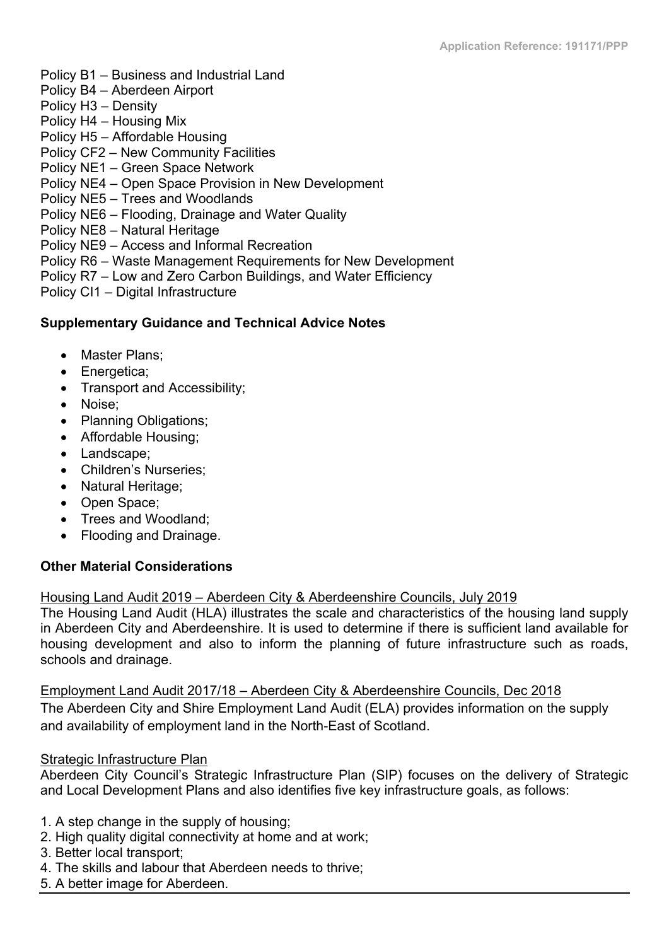- Policy B1 Business and Industrial Land
- Policy B4 Aberdeen Airport
- Policy H3 Density
- Policy H4 Housing Mix
- Policy H5 Affordable Housing
- Policy CF2 New Community Facilities
- Policy NE1 Green Space Network
- Policy NE4 Open Space Provision in New Development
- Policy NE5 Trees and Woodlands
- Policy NE6 Flooding, Drainage and Water Quality
- Policy NE8 Natural Heritage
- Policy NE9 Access and Informal Recreation
- Policy R6 Waste Management Requirements for New Development
- Policy R7 Low and Zero Carbon Buildings, and Water Efficiency
- Policy CI1 Digital Infrastructure

# **Supplementary Guidance and Technical Advice Notes**

- Master Plans:
- Energetica:
- Transport and Accessibility;
- Noise;
- Planning Obligations;
- Affordable Housing:
- Landscape:
- Children's Nurseries;
- Natural Heritage;
- Open Space;
- Trees and Woodland;
- Flooding and Drainage.

# **Other Material Considerations**

# Housing Land Audit 2019 – Aberdeen City & Aberdeenshire Councils, July 2019

The Housing Land Audit (HLA) illustrates the scale and characteristics of the housing land supply in Aberdeen City and Aberdeenshire. It is used to determine if there is sufficient land available for housing development and also to inform the planning of future infrastructure such as roads, schools and drainage.

Employment Land Audit 2017/18 – Aberdeen City & Aberdeenshire Councils, Dec 2018 The Aberdeen City and Shire Employment Land Audit (ELA) provides information on the supply and availability of employment land in the North-East of Scotland.

# Strategic Infrastructure Plan

Aberdeen City Council's Strategic Infrastructure Plan (SIP) focuses on the delivery of Strategic and Local Development Plans and also identifies five key infrastructure goals, as follows:

- 1. A step change in the supply of housing;
- 2. High quality digital connectivity at home and at work;
- 3. Better local transport;
- 4. The skills and labour that Aberdeen needs to thrive;
- 5. A better image for Aberdeen.